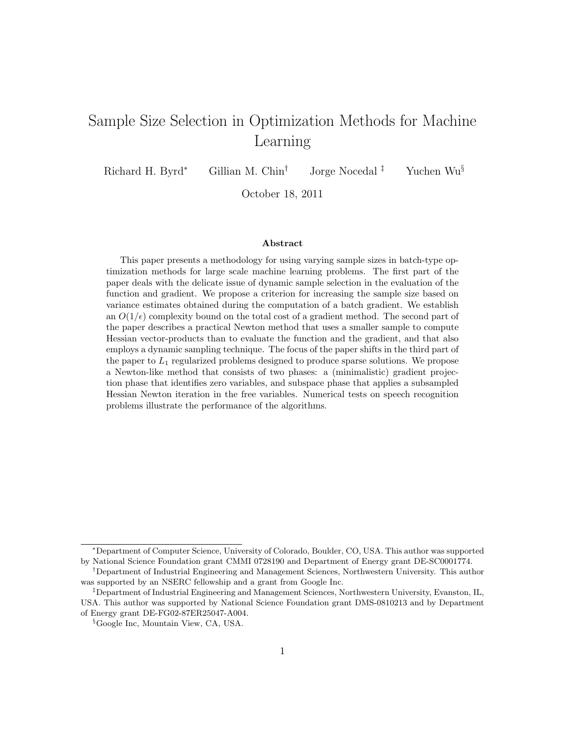# Sample Size Selection in Optimization Methods for Machine Learning

Richard H. Byrd<sup>∗</sup> Gillian M. Chin<sup>†</sup> Jorge Nocedal <sup>‡</sup> Yuchen Wu<sup>§</sup>

October 18, 2011

#### Abstract

This paper presents a methodology for using varying sample sizes in batch-type optimization methods for large scale machine learning problems. The first part of the paper deals with the delicate issue of dynamic sample selection in the evaluation of the function and gradient. We propose a criterion for increasing the sample size based on variance estimates obtained during the computation of a batch gradient. We establish an  $O(1/\epsilon)$  complexity bound on the total cost of a gradient method. The second part of the paper describes a practical Newton method that uses a smaller sample to compute Hessian vector-products than to evaluate the function and the gradient, and that also employs a dynamic sampling technique. The focus of the paper shifts in the third part of the paper to  $L_1$  regularized problems designed to produce sparse solutions. We propose a Newton-like method that consists of two phases: a (minimalistic) gradient projection phase that identifies zero variables, and subspace phase that applies a subsampled Hessian Newton iteration in the free variables. Numerical tests on speech recognition problems illustrate the performance of the algorithms.

<sup>∗</sup>Department of Computer Science, University of Colorado, Boulder, CO, USA. This author was supported by National Science Foundation grant CMMI 0728190 and Department of Energy grant DE-SC0001774.

<sup>†</sup>Department of Industrial Engineering and Management Sciences, Northwestern University. This author was supported by an NSERC fellowship and a grant from Google Inc.

<sup>‡</sup>Department of Industrial Engineering and Management Sciences, Northwestern University, Evanston, IL, USA. This author was supported by National Science Foundation grant DMS-0810213 and by Department of Energy grant DE-FG02-87ER25047-A004.

<sup>§</sup>Google Inc, Mountain View, CA, USA.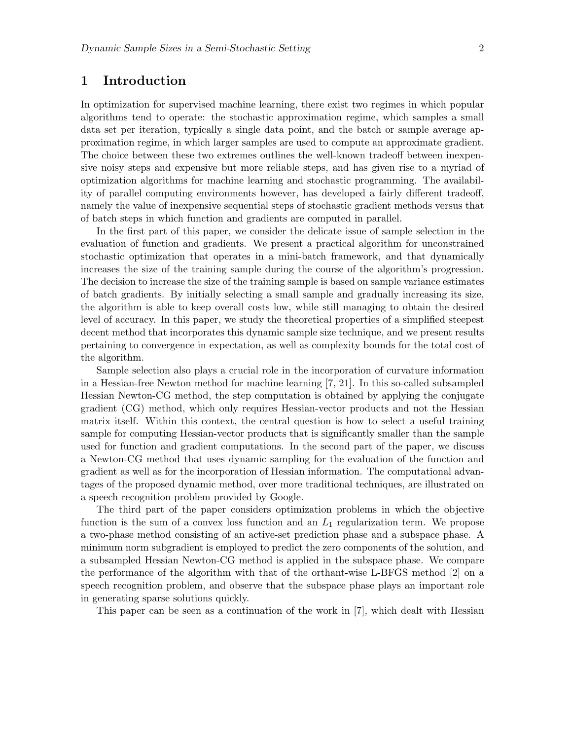### 1 Introduction

In optimization for supervised machine learning, there exist two regimes in which popular algorithms tend to operate: the stochastic approximation regime, which samples a small data set per iteration, typically a single data point, and the batch or sample average approximation regime, in which larger samples are used to compute an approximate gradient. The choice between these two extremes outlines the well-known tradeoff between inexpensive noisy steps and expensive but more reliable steps, and has given rise to a myriad of optimization algorithms for machine learning and stochastic programming. The availability of parallel computing environments however, has developed a fairly different tradeoff, namely the value of inexpensive sequential steps of stochastic gradient methods versus that of batch steps in which function and gradients are computed in parallel.

In the first part of this paper, we consider the delicate issue of sample selection in the evaluation of function and gradients. We present a practical algorithm for unconstrained stochastic optimization that operates in a mini-batch framework, and that dynamically increases the size of the training sample during the course of the algorithm's progression. The decision to increase the size of the training sample is based on sample variance estimates of batch gradients. By initially selecting a small sample and gradually increasing its size, the algorithm is able to keep overall costs low, while still managing to obtain the desired level of accuracy. In this paper, we study the theoretical properties of a simplified steepest decent method that incorporates this dynamic sample size technique, and we present results pertaining to convergence in expectation, as well as complexity bounds for the total cost of the algorithm.

Sample selection also plays a crucial role in the incorporation of curvature information in a Hessian-free Newton method for machine learning [7, 21]. In this so-called subsampled Hessian Newton-CG method, the step computation is obtained by applying the conjugate gradient (CG) method, which only requires Hessian-vector products and not the Hessian matrix itself. Within this context, the central question is how to select a useful training sample for computing Hessian-vector products that is significantly smaller than the sample used for function and gradient computations. In the second part of the paper, we discuss a Newton-CG method that uses dynamic sampling for the evaluation of the function and gradient as well as for the incorporation of Hessian information. The computational advantages of the proposed dynamic method, over more traditional techniques, are illustrated on a speech recognition problem provided by Google.

The third part of the paper considers optimization problems in which the objective function is the sum of a convex loss function and an  $L_1$  regularization term. We propose a two-phase method consisting of an active-set prediction phase and a subspace phase. A minimum norm subgradient is employed to predict the zero components of the solution, and a subsampled Hessian Newton-CG method is applied in the subspace phase. We compare the performance of the algorithm with that of the orthant-wise L-BFGS method [2] on a speech recognition problem, and observe that the subspace phase plays an important role in generating sparse solutions quickly.

This paper can be seen as a continuation of the work in [7], which dealt with Hessian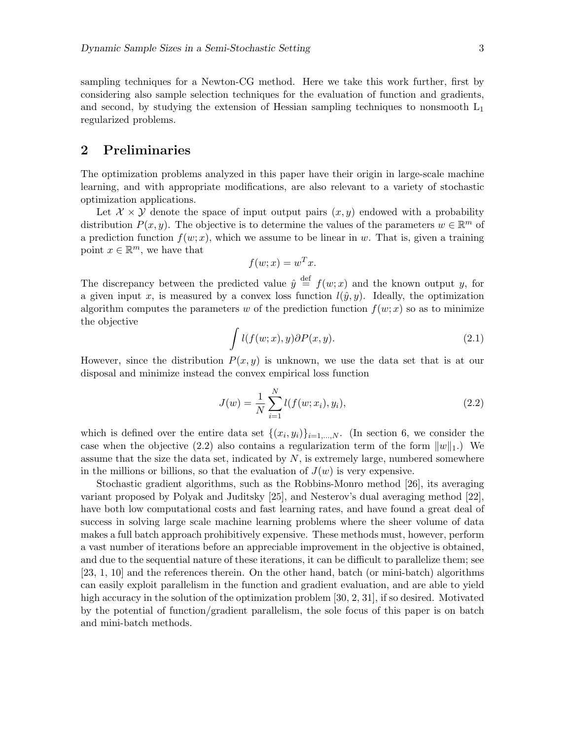sampling techniques for a Newton-CG method. Here we take this work further, first by considering also sample selection techniques for the evaluation of function and gradients, and second, by studying the extension of Hessian sampling techniques to nonsmooth  $L_1$ regularized problems.

# 2 Preliminaries

The optimization problems analyzed in this paper have their origin in large-scale machine learning, and with appropriate modifications, are also relevant to a variety of stochastic optimization applications.

Let  $\mathcal{X} \times \mathcal{Y}$  denote the space of input output pairs  $(x, y)$  endowed with a probability distribution  $P(x, y)$ . The objective is to determine the values of the parameters  $w \in \mathbb{R}^m$  of a prediction function  $f(w; x)$ , which we assume to be linear in w. That is, given a training point  $x \in \mathbb{R}^m$ , we have that

$$
f(w; x) = w^T x.
$$

The discrepancy between the predicted value  $\hat{y} \stackrel{\text{def}}{=} f(w; x)$  and the known output y, for a given input x, is measured by a convex loss function  $l(\hat{y}, y)$ . Ideally, the optimization algorithm computes the parameters w of the prediction function  $f(w; x)$  so as to minimize the objective

$$
\int l(f(w;x),y)\partial P(x,y). \tag{2.1}
$$

However, since the distribution  $P(x, y)$  is unknown, we use the data set that is at our disposal and minimize instead the convex empirical loss function

$$
J(w) = \frac{1}{N} \sum_{i=1}^{N} l(f(w; x_i), y_i),
$$
\n(2.2)

which is defined over the entire data set  $\{(x_i, y_i)\}_{i=1,\dots,N}$ . (In section 6, we consider the case when the objective (2.2) also contains a regularization term of the form  $||w||_1$ .) We assume that the size the data set, indicated by  $N$ , is extremely large, numbered somewhere in the millions or billions, so that the evaluation of  $J(w)$  is very expensive.

Stochastic gradient algorithms, such as the Robbins-Monro method [26], its averaging variant proposed by Polyak and Juditsky [25], and Nesterov's dual averaging method [22], have both low computational costs and fast learning rates, and have found a great deal of success in solving large scale machine learning problems where the sheer volume of data makes a full batch approach prohibitively expensive. These methods must, however, perform a vast number of iterations before an appreciable improvement in the objective is obtained, and due to the sequential nature of these iterations, it can be difficult to parallelize them; see [23, 1, 10] and the references therein. On the other hand, batch (or mini-batch) algorithms can easily exploit parallelism in the function and gradient evaluation, and are able to yield high accuracy in the solution of the optimization problem [30, 2, 31], if so desired. Motivated by the potential of function/gradient parallelism, the sole focus of this paper is on batch and mini-batch methods.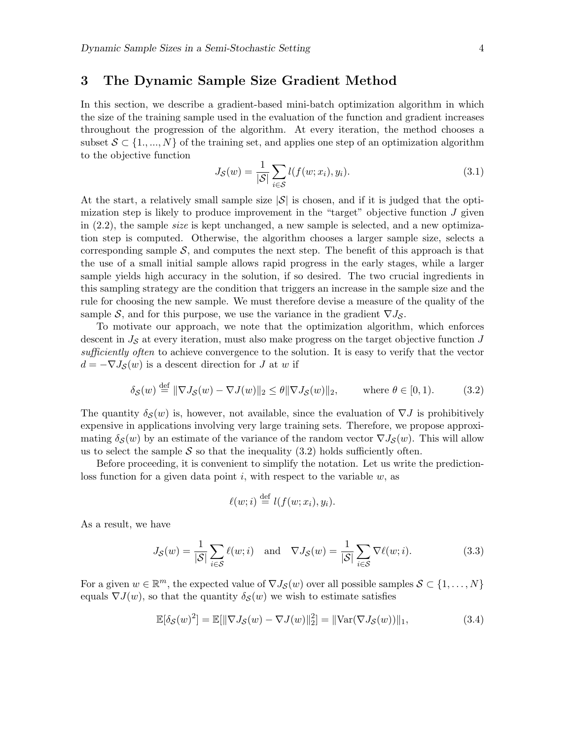### 3 The Dynamic Sample Size Gradient Method

In this section, we describe a gradient-based mini-batch optimization algorithm in which the size of the training sample used in the evaluation of the function and gradient increases throughout the progression of the algorithm. At every iteration, the method chooses a subset  $S \subset \{1, ..., N\}$  of the training set, and applies one step of an optimization algorithm to the objective function

$$
J_{\mathcal{S}}(w) = \frac{1}{|\mathcal{S}|} \sum_{i \in \mathcal{S}} l(f(w; x_i), y_i). \tag{3.1}
$$

At the start, a relatively small sample size  $|\mathcal{S}|$  is chosen, and if it is judged that the optimization step is likely to produce improvement in the "target" objective function  $J$  given in  $(2.2)$ , the sample *size* is kept unchanged, a new sample is selected, and a new optimization step is computed. Otherwise, the algorithm chooses a larger sample size, selects a corresponding sample  $S$ , and computes the next step. The benefit of this approach is that the use of a small initial sample allows rapid progress in the early stages, while a larger sample yields high accuracy in the solution, if so desired. The two crucial ingredients in this sampling strategy are the condition that triggers an increase in the sample size and the rule for choosing the new sample. We must therefore devise a measure of the quality of the sample S, and for this purpose, we use the variance in the gradient  $\nabla J_{\mathcal{S}}$ .

To motivate our approach, we note that the optimization algorithm, which enforces descent in  $J<sub>S</sub>$  at every iteration, must also make progress on the target objective function  $J$ sufficiently often to achieve convergence to the solution. It is easy to verify that the vector  $d = -\nabla J_{\mathcal{S}}(w)$  is a descent direction for J at w if

$$
\delta_{\mathcal{S}}(w) \stackrel{\text{def}}{=} \|\nabla J_{\mathcal{S}}(w) - \nabla J(w)\|_{2} \le \theta \|\nabla J_{\mathcal{S}}(w)\|_{2}, \quad \text{where } \theta \in [0, 1). \tag{3.2}
$$

The quantity  $\delta_{\mathcal{S}}(w)$  is, however, not available, since the evaluation of  $\nabla J$  is prohibitively expensive in applications involving very large training sets. Therefore, we propose approximating  $\delta_{\mathcal{S}}(w)$  by an estimate of the variance of the random vector  $\nabla J_{\mathcal{S}}(w)$ . This will allow us to select the sample  $S$  so that the inequality (3.2) holds sufficiently often.

Before proceeding, it is convenient to simplify the notation. Let us write the predictionloss function for a given data point  $i$ , with respect to the variable  $w$ , as

$$
\ell(w; i) \stackrel{\text{def}}{=} l(f(w; x_i), y_i).
$$

As a result, we have

$$
J_{\mathcal{S}}(w) = \frac{1}{|\mathcal{S}|} \sum_{i \in \mathcal{S}} \ell(w; i) \quad \text{and} \quad \nabla J_{\mathcal{S}}(w) = \frac{1}{|\mathcal{S}|} \sum_{i \in \mathcal{S}} \nabla \ell(w; i). \tag{3.3}
$$

For a given  $w \in \mathbb{R}^m$ , the expected value of  $\nabla J_{\mathcal{S}}(w)$  over all possible samples  $\mathcal{S} \subset \{1, \ldots, N\}$ equals  $\nabla J(w)$ , so that the quantity  $\delta_{\mathcal{S}}(w)$  we wish to estimate satisfies

$$
\mathbb{E}[\delta_{\mathcal{S}}(w)^{2}] = \mathbb{E}[\|\nabla J_{\mathcal{S}}(w) - \nabla J(w)\|_{2}^{2}] = \|\text{Var}(\nabla J_{\mathcal{S}}(w))\|_{1},\tag{3.4}
$$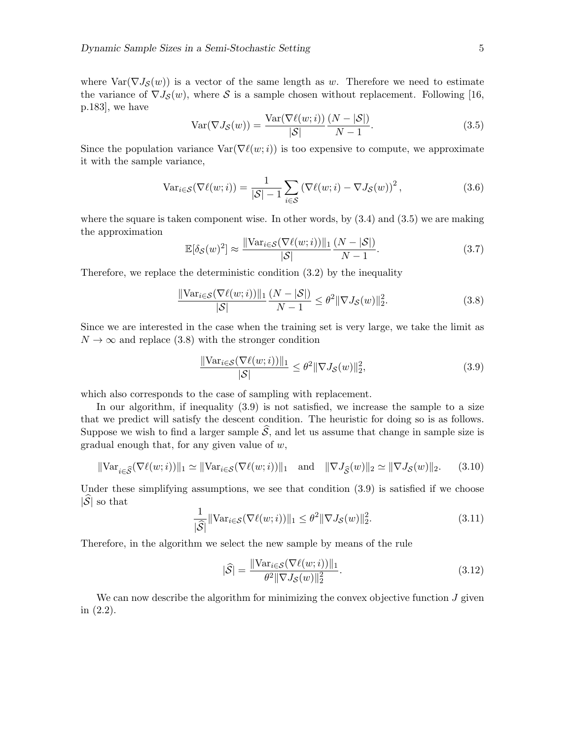where  $Var(\nabla J_{\mathcal{S}}(w))$  is a vector of the same length as w. Therefore we need to estimate the variance of  $\nabla J_{\mathcal{S}}(w)$ , where S is a sample chosen without replacement. Following [16, p.183], we have

$$
Var(\nabla J_{\mathcal{S}}(w)) = \frac{Var(\nabla \ell(w; i))}{|\mathcal{S}|} \frac{(N - |\mathcal{S}|)}{N - 1}.
$$
\n(3.5)

Since the population variance  $\text{Var}(\nabla \ell(w;i))$  is too expensive to compute, we approximate it with the sample variance,

$$
\text{Var}_{i \in \mathcal{S}}(\nabla \ell(w; i)) = \frac{1}{|\mathcal{S}| - 1} \sum_{i \in \mathcal{S}} \left(\nabla \ell(w; i) - \nabla J_{\mathcal{S}}(w)\right)^2,\tag{3.6}
$$

where the square is taken component wise. In other words, by  $(3.4)$  and  $(3.5)$  we are making the approximation

$$
\mathbb{E}[\delta_{\mathcal{S}}(w)^{2}] \approx \frac{\|\text{Var}_{i \in \mathcal{S}}(\nabla \ell(w;i))\|_{1}}{|\mathcal{S}|} \frac{(N - |\mathcal{S}|)}{N - 1}.
$$
\n(3.7)

Therefore, we replace the deterministic condition (3.2) by the inequality

$$
\frac{\|\text{Var}_{i\in\mathcal{S}}(\nabla\ell(w;i))\|_1}{|\mathcal{S}|}\frac{(N-|\mathcal{S}|)}{N-1} \leq \theta^2 \|\nabla J_{\mathcal{S}}(w)\|_2^2.
$$
\n(3.8)

Since we are interested in the case when the training set is very large, we take the limit as  $N \to \infty$  and replace (3.8) with the stronger condition

$$
\frac{\|\text{Var}_{i \in \mathcal{S}}(\nabla \ell(w; i))\|_1}{|\mathcal{S}|} \le \theta^2 \|\nabla J_{\mathcal{S}}(w)\|_2^2,\tag{3.9}
$$

which also corresponds to the case of sampling with replacement.

In our algorithm, if inequality (3.9) is not satisfied, we increase the sample to a size that we predict will satisfy the descent condition. The heuristic for doing so is as follows. Suppose we wish to find a larger sample  $\hat{S}$ , and let us assume that change in sample size is gradual enough that, for any given value of  $w$ ,

$$
\|\text{Var}_{i \in \widehat{\mathcal{S}}}(\nabla \ell(w; i))\|_1 \simeq \|\text{Var}_{i \in \mathcal{S}}(\nabla \ell(w; i))\|_1 \quad \text{and} \quad \|\nabla J_{\widehat{\mathcal{S}}}(w)\|_2 \simeq \|\nabla J_{\mathcal{S}}(w)\|_2. \tag{3.10}
$$

Under these simplifying assumptions, we see that condition (3.9) is satisfied if we choose  $|\widehat{\mathcal{S}}|$  so that

$$
\frac{1}{|\widehat{\mathcal{S}}|} \|\text{Var}_{i \in \mathcal{S}}(\nabla \ell(w; i))\|_1 \le \theta^2 \|\nabla J_{\mathcal{S}}(w)\|_2^2. \tag{3.11}
$$

Therefore, in the algorithm we select the new sample by means of the rule

$$
|\widehat{\mathcal{S}}| = \frac{\|\text{Var}_{i \in \mathcal{S}}(\nabla \ell(w; i))\|_1}{\theta^2 \|\nabla J_{\mathcal{S}}(w)\|_2^2}.
$$
\n(3.12)

We can now describe the algorithm for minimizing the convex objective function  $J$  given in (2.2).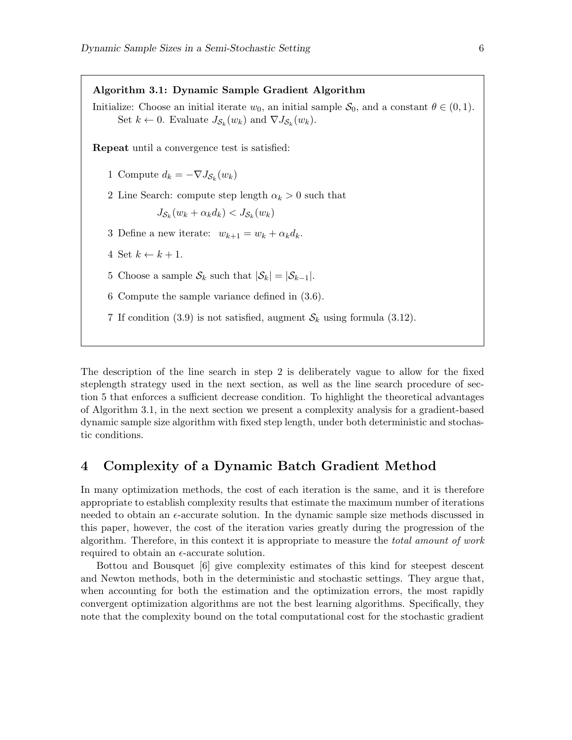Algorithm 3.1: Dynamic Sample Gradient Algorithm Initialize: Choose an initial iterate  $w_0$ , an initial sample  $S_0$ , and a constant  $\theta \in (0,1)$ . Set  $k \leftarrow 0$ . Evaluate  $J_{\mathcal{S}_k}(w_k)$  and  $\nabla J_{\mathcal{S}_k}(w_k)$ . Repeat until a convergence test is satisfied: 1 Compute  $d_k = -\nabla J_{\mathcal{S}_k}(w_k)$ 2 Line Search: compute step length  $\alpha_k > 0$  such that  $J_{\mathcal{S}_k}(w_k + \alpha_k d_k) < J_{\mathcal{S}_k}(w_k)$ 3 Define a new iterate:  $w_{k+1} = w_k + \alpha_k d_k$ . 4 Set  $k \leftarrow k + 1$ . 5 Choose a sample  $S_k$  such that  $|S_k| = |S_{k-1}|$ . 6 Compute the sample variance defined in (3.6). 7 If condition (3.9) is not satisfied, augment  $S_k$  using formula (3.12).

The description of the line search in step 2 is deliberately vague to allow for the fixed steplength strategy used in the next section, as well as the line search procedure of section 5 that enforces a sufficient decrease condition. To highlight the theoretical advantages of Algorithm 3.1, in the next section we present a complexity analysis for a gradient-based dynamic sample size algorithm with fixed step length, under both deterministic and stochastic conditions.

## 4 Complexity of a Dynamic Batch Gradient Method

In many optimization methods, the cost of each iteration is the same, and it is therefore appropriate to establish complexity results that estimate the maximum number of iterations needed to obtain an  $\epsilon$ -accurate solution. In the dynamic sample size methods discussed in this paper, however, the cost of the iteration varies greatly during the progression of the algorithm. Therefore, in this context it is appropriate to measure the total amount of work required to obtain an  $\epsilon$ -accurate solution.

Bottou and Bousquet [6] give complexity estimates of this kind for steepest descent and Newton methods, both in the deterministic and stochastic settings. They argue that, when accounting for both the estimation and the optimization errors, the most rapidly convergent optimization algorithms are not the best learning algorithms. Specifically, they note that the complexity bound on the total computational cost for the stochastic gradient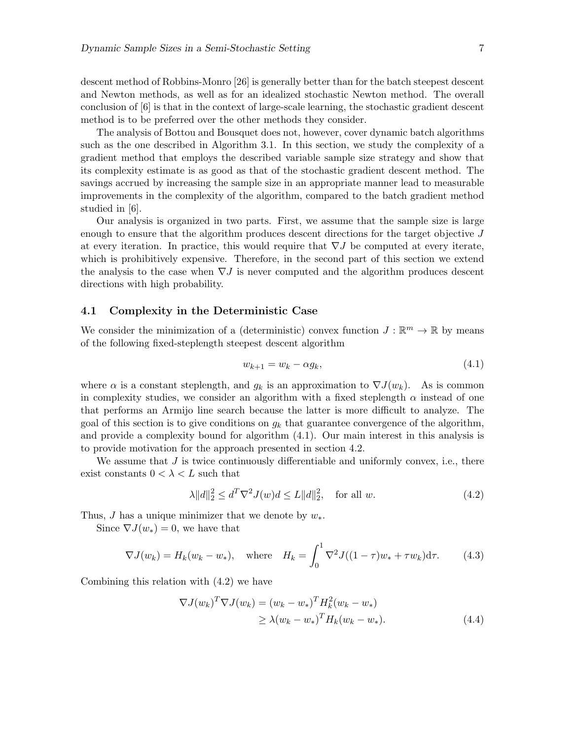descent method of Robbins-Monro [26] is generally better than for the batch steepest descent and Newton methods, as well as for an idealized stochastic Newton method. The overall conclusion of [6] is that in the context of large-scale learning, the stochastic gradient descent method is to be preferred over the other methods they consider.

The analysis of Bottou and Bousquet does not, however, cover dynamic batch algorithms such as the one described in Algorithm 3.1. In this section, we study the complexity of a gradient method that employs the described variable sample size strategy and show that its complexity estimate is as good as that of the stochastic gradient descent method. The savings accrued by increasing the sample size in an appropriate manner lead to measurable improvements in the complexity of the algorithm, compared to the batch gradient method studied in [6].

Our analysis is organized in two parts. First, we assume that the sample size is large enough to ensure that the algorithm produces descent directions for the target objective J at every iteration. In practice, this would require that  $\nabla J$  be computed at every iterate, which is prohibitively expensive. Therefore, in the second part of this section we extend the analysis to the case when  $\nabla J$  is never computed and the algorithm produces descent directions with high probability.

### 4.1 Complexity in the Deterministic Case

We consider the minimization of a (deterministic) convex function  $J : \mathbb{R}^m \to \mathbb{R}$  by means of the following fixed-steplength steepest descent algorithm

$$
w_{k+1} = w_k - \alpha g_k, \tag{4.1}
$$

where  $\alpha$  is a constant steplength, and  $g_k$  is an approximation to  $\nabla J(w_k)$ . As is common in complexity studies, we consider an algorithm with a fixed steplength  $\alpha$  instead of one that performs an Armijo line search because the latter is more difficult to analyze. The goal of this section is to give conditions on  $q_k$  that guarantee convergence of the algorithm, and provide a complexity bound for algorithm (4.1). Our main interest in this analysis is to provide motivation for the approach presented in section 4.2.

We assume that  $J$  is twice continuously differentiable and uniformly convex, i.e., there exist constants  $0 < \lambda < L$  such that

$$
\lambda \|d\|_2^2 \le d^T \nabla^2 J(w) d \le L \|d\|_2^2, \quad \text{for all } w. \tag{4.2}
$$

Thus, J has a unique minimizer that we denote by  $w_*$ .

Since  $\nabla J(w_*)=0$ , we have that

$$
\nabla J(w_k) = H_k(w_k - w_*)
$$
, where  $H_k = \int_0^1 \nabla^2 J((1 - \tau)w_* + \tau w_k) d\tau$ . (4.3)

Combining this relation with (4.2) we have

$$
\nabla J(w_k)^T \nabla J(w_k) = (w_k - w_*)^T H_k^2 (w_k - w_*)
$$
  
\n
$$
\geq \lambda (w_k - w_*)^T H_k (w_k - w_*).
$$
\n(4.4)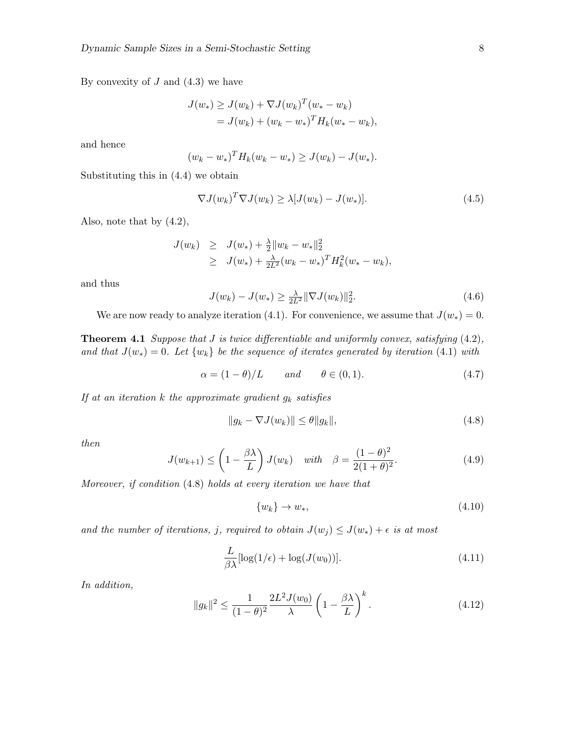By convexity of  $J$  and  $(4.3)$  we have

$$
J(w_*) \geq J(w_k) + \nabla J(w_k)^T (w_* - w_k)
$$
  
=  $J(w_k) + (w_k - w_*)^T H_k (w_* - w_k),$ 

and hence

$$
(w_k - w_*)^T H_k(w_k - w_*) \ge J(w_k) - J(w_*).
$$

Substituting this in (4.4) we obtain

$$
\nabla J(w_k)^T \nabla J(w_k) \ge \lambda [J(w_k) - J(w_*)]. \tag{4.5}
$$

Also, note that by (4.2),

$$
J(w_k) \geq J(w_*) + \frac{\lambda}{2} ||w_k - w_*||_2^2
$$
  
 
$$
\geq J(w_*) + \frac{\lambda}{2L^2} (w_k - w_*)^T H_k^2 (w_* - w_k),
$$

and thus

$$
J(w_k) - J(w_*) \ge \frac{\lambda}{2L^2} \|\nabla J(w_k)\|_2^2.
$$
\n(4.6)

We are now ready to analyze iteration (4.1). For convenience, we assume that  $J(w_*) = 0$ .

**Theorem 4.1** Suppose that  $J$  is twice differentiable and uniformly convex, satisfying  $(4.2)$ , and that  $J(w_*) = 0$ . Let  $\{w_k\}$  be the sequence of iterates generated by iteration (4.1) with

$$
\alpha = (1 - \theta)/L \qquad \text{and} \qquad \theta \in (0, 1). \tag{4.7}
$$

If at an iteration  $k$  the approximate gradient  $g_k$  satisfies

$$
||g_k - \nabla J(w_k)|| \le \theta ||g_k||,\tag{4.8}
$$

then

$$
J(w_{k+1}) \leq \left(1 - \frac{\beta \lambda}{L}\right) J(w_k) \quad \text{with} \quad \beta = \frac{(1 - \theta)^2}{2(1 + \theta)^2}.
$$
 (4.9)

Moreover, if condition (4.8) holds at every iteration we have that

$$
\{w_k\} \to w_*,\tag{4.10}
$$

and the number of iterations, j, required to obtain  $J(w_j) \leq J(w_*) + \epsilon$  is at most

$$
\frac{L}{\beta \lambda} [\log(1/\epsilon) + \log(J(w_0))]. \tag{4.11}
$$

In addition,

$$
||g_k||^2 \le \frac{1}{(1-\theta)^2} \frac{2L^2 J(w_0)}{\lambda} \left(1 - \frac{\beta \lambda}{L}\right)^k.
$$
\n(4.12)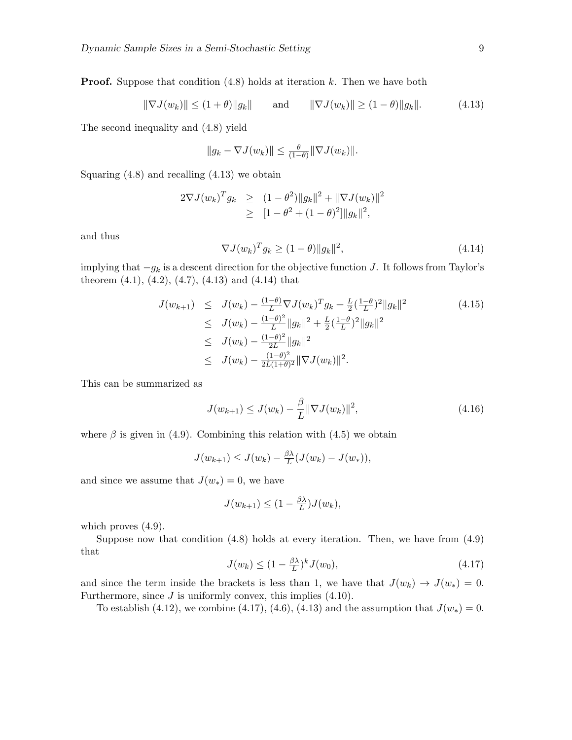**Proof.** Suppose that condition  $(4.8)$  holds at iteration k. Then we have both

$$
\|\nabla J(w_k)\| \le (1+\theta) \|g_k\|
$$
 and  $\|\nabla J(w_k)\| \ge (1-\theta) \|g_k\|.$  (4.13)

The second inequality and (4.8) yield

$$
||g_k - \nabla J(w_k)|| \leq \frac{\theta}{(1-\theta)} ||\nabla J(w_k)||.
$$

Squaring  $(4.8)$  and recalling  $(4.13)$  we obtain

$$
2\nabla J(w_k)^T g_k \geq (1-\theta^2) \|g_k\|^2 + \|\nabla J(w_k)\|^2
$$
  
 
$$
\geq [1-\theta^2 + (1-\theta)^2] \|g_k\|^2,
$$

and thus

$$
\nabla J(w_k)^T g_k \ge (1 - \theta) \|g_k\|^2,\tag{4.14}
$$

implying that  $-g_k$  is a descent direction for the objective function J. It follows from Taylor's theorem  $(4.1)$ ,  $(4.2)$ ,  $(4.7)$ ,  $(4.13)$  and  $(4.14)$  that

$$
J(w_{k+1}) \leq J(w_k) - \frac{(1-\theta)}{L} \nabla J(w_k)^T g_k + \frac{L}{2} (\frac{1-\theta}{L})^2 \|g_k\|^2
$$
\n
$$
\leq J(w_k) - \frac{(1-\theta)^2}{L} \|g_k\|^2 + \frac{L}{2} (\frac{1-\theta}{L})^2 \|g_k\|^2
$$
\n
$$
\leq J(w_k) - \frac{(1-\theta)^2}{2L} \|g_k\|^2
$$
\n
$$
\leq J(w_k) - \frac{(1-\theta)^2}{2L(1+\theta)^2} \|\nabla J(w_k)\|^2.
$$
\n(4.15)

This can be summarized as

$$
J(w_{k+1}) \le J(w_k) - \frac{\beta}{L} \|\nabla J(w_k)\|^2,
$$
\n(4.16)

where  $\beta$  is given in (4.9). Combining this relation with (4.5) we obtain

$$
J(w_{k+1}) \leq J(w_k) - \frac{\beta \lambda}{L} (J(w_k) - J(w_*)),
$$

and since we assume that  $J(w_*) = 0$ , we have

$$
J(w_{k+1}) \leq (1 - \frac{\beta \lambda}{L}) J(w_k),
$$

which proves  $(4.9)$ .

Suppose now that condition  $(4.8)$  holds at every iteration. Then, we have from  $(4.9)$ that

$$
J(w_k) \le (1 - \frac{\beta \lambda}{L})^k J(w_0),\tag{4.17}
$$

and since the term inside the brackets is less than 1, we have that  $J(w_k) \to J(w_*) = 0$ . Furthermore, since  $J$  is uniformly convex, this implies  $(4.10)$ .

To establish (4.12), we combine (4.17), (4.6), (4.13) and the assumption that  $J(w_*) = 0$ .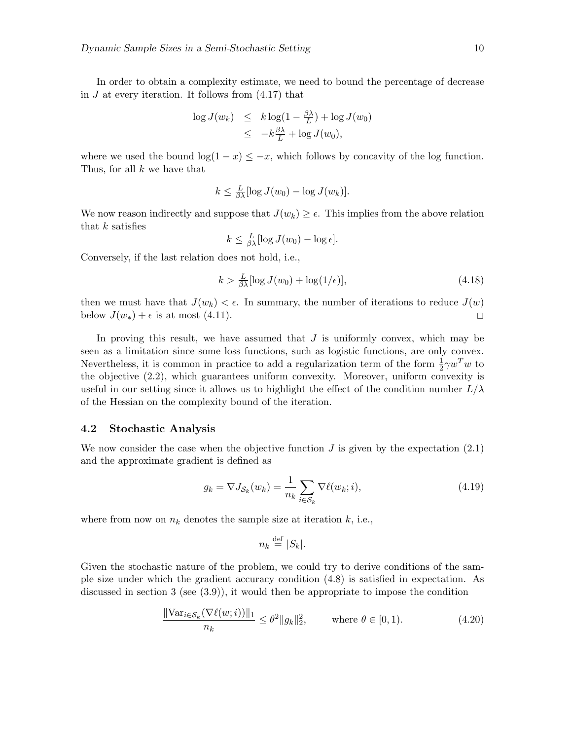In order to obtain a complexity estimate, we need to bound the percentage of decrease in  $J$  at every iteration. It follows from  $(4.17)$  that

$$
\log J(w_k) \leq k \log(1 - \frac{\beta \lambda}{L}) + \log J(w_0)
$$
  

$$
\leq -k \frac{\beta \lambda}{L} + \log J(w_0),
$$

where we used the bound  $\log(1-x) \leq -x$ , which follows by concavity of the log function. Thus, for all k we have that

$$
k \leq \frac{L}{\beta \lambda} [\log J(w_0) - \log J(w_k)].
$$

We now reason indirectly and suppose that  $J(w_k) \geq \epsilon$ . This implies from the above relation that  $k$  satisfies

$$
k \leq \frac{L}{\beta \lambda} [\log J(w_0) - \log \epsilon].
$$

Conversely, if the last relation does not hold, i.e.,

$$
k > \frac{L}{\beta \lambda} [\log J(w_0) + \log(1/\epsilon)],\tag{4.18}
$$

then we must have that  $J(w_k) < \epsilon$ . In summary, the number of iterations to reduce  $J(w)$ below  $J(w_*) + \epsilon$  is at most (4.11).

In proving this result, we have assumed that  $J$  is uniformly convex, which may be seen as a limitation since some loss functions, such as logistic functions, are only convex. Nevertheless, it is common in practice to add a regularization term of the form  $\frac{1}{2}\gamma w^T w$  to the objective (2.2), which guarantees uniform convexity. Moreover, uniform convexity is useful in our setting since it allows us to highlight the effect of the condition number  $L/\lambda$ of the Hessian on the complexity bound of the iteration.

### 4.2 Stochastic Analysis

We now consider the case when the objective function  $J$  is given by the expectation  $(2.1)$ and the approximate gradient is defined as

$$
g_k = \nabla J_{\mathcal{S}_k}(w_k) = \frac{1}{n_k} \sum_{i \in \mathcal{S}_k} \nabla \ell(w_k; i), \tag{4.19}
$$

where from now on  $n_k$  denotes the sample size at iteration k, i.e.,

$$
n_k \stackrel{\text{def}}{=} |S_k|.
$$

Given the stochastic nature of the problem, we could try to derive conditions of the sample size under which the gradient accuracy condition (4.8) is satisfied in expectation. As discussed in section 3 (see  $(3.9)$ ), it would then be appropriate to impose the condition

$$
\frac{\|\text{Var}_{i \in \mathcal{S}_k}(\nabla \ell(w; i))\|_1}{n_k} \le \theta^2 \|g_k\|_2^2, \quad \text{where } \theta \in [0, 1). \tag{4.20}
$$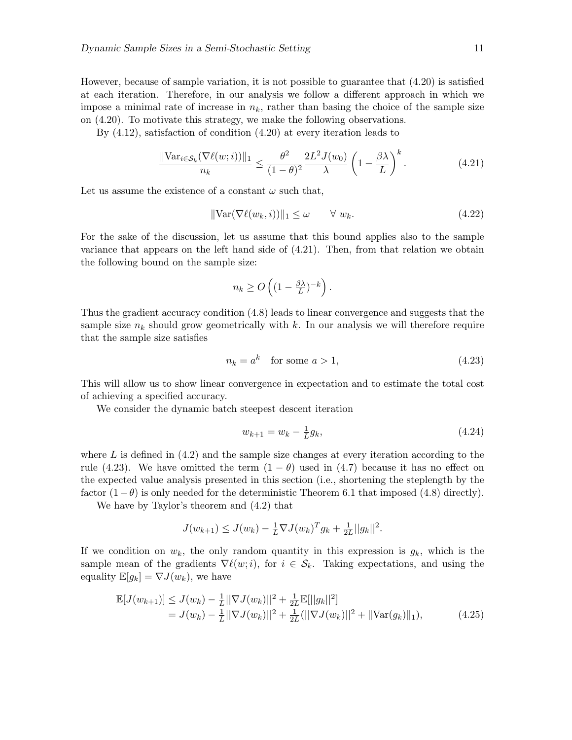However, because of sample variation, it is not possible to guarantee that (4.20) is satisfied at each iteration. Therefore, in our analysis we follow a different approach in which we impose a minimal rate of increase in  $n_k$ , rather than basing the choice of the sample size on (4.20). To motivate this strategy, we make the following observations.

By (4.12), satisfaction of condition (4.20) at every iteration leads to

$$
\frac{\|\text{Var}_{i \in \mathcal{S}_k}(\nabla \ell(w; i))\|_1}{n_k} \le \frac{\theta^2}{(1 - \theta)^2} \frac{2L^2 J(w_0)}{\lambda} \left(1 - \frac{\beta \lambda}{L}\right)^k. \tag{4.21}
$$

Let us assume the existence of a constant  $\omega$  such that,

$$
\|\text{Var}(\nabla \ell(w_k, i))\|_1 \le \omega \qquad \forall \ w_k. \tag{4.22}
$$

For the sake of the discussion, let us assume that this bound applies also to the sample variance that appears on the left hand side of (4.21). Then, from that relation we obtain the following bound on the sample size:

$$
n_k \ge O\left((1 - \frac{\beta \lambda}{L})^{-k}\right).
$$

Thus the gradient accuracy condition (4.8) leads to linear convergence and suggests that the sample size  $n_k$  should grow geometrically with k. In our analysis we will therefore require that the sample size satisfies

$$
n_k = a^k \quad \text{for some } a > 1,\tag{4.23}
$$

This will allow us to show linear convergence in expectation and to estimate the total cost of achieving a specified accuracy.

We consider the dynamic batch steepest descent iteration

$$
w_{k+1} = w_k - \frac{1}{L}g_k,\tag{4.24}
$$

where  $L$  is defined in  $(4.2)$  and the sample size changes at every iteration according to the rule (4.23). We have omitted the term  $(1 - \theta)$  used in (4.7) because it has no effect on the expected value analysis presented in this section (i.e., shortening the steplength by the factor  $(1-\theta)$  is only needed for the deterministic Theorem 6.1 that imposed (4.8) directly).

We have by Taylor's theorem and (4.2) that

$$
J(w_{k+1}) \leq J(w_k) - \frac{1}{L} \nabla J(w_k)^T g_k + \frac{1}{2L} ||g_k||^2.
$$

If we condition on  $w_k$ , the only random quantity in this expression is  $g_k$ , which is the sample mean of the gradients  $\nabla \ell(w;i)$ , for  $i \in \mathcal{S}_k$ . Taking expectations, and using the equality  $\mathbb{E}[g_k] = \nabla J(w_k)$ , we have

$$
\mathbb{E}[J(w_{k+1})] \leq J(w_k) - \frac{1}{L} ||\nabla J(w_k)||^2 + \frac{1}{2L} \mathbb{E}[||g_k||^2] \n= J(w_k) - \frac{1}{L} ||\nabla J(w_k)||^2 + \frac{1}{2L} (||\nabla J(w_k)||^2 + ||\nabla J(w_k)||_1),
$$
\n(4.25)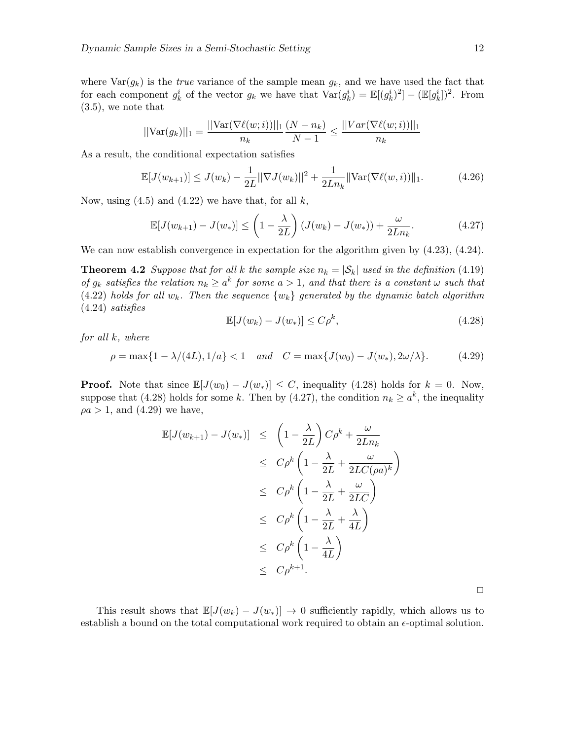where  $\text{Var}(g_k)$  is the *true* variance of the sample mean  $g_k$ , and we have used the fact that for each component  $g_k^i$  of the vector  $g_k$  we have that  $\text{Var}(g_k^i) = \mathbb{E}[(g_k^i)^2] - (\mathbb{E}[g_k^i])^2$ . From (3.5), we note that

$$
||\text{Var}(g_k)||_1 = \frac{||\text{Var}(\nabla \ell(w;i))||_1}{n_k} \frac{(N - n_k)}{N - 1} \le \frac{||\text{Var}(\nabla \ell(w;i))||_1}{n_k}
$$

As a result, the conditional expectation satisfies

$$
\mathbb{E}[J(w_{k+1})] \le J(w_k) - \frac{1}{2L} ||\nabla J(w_k)||^2 + \frac{1}{2Ln_k} ||\text{Var}(\nabla \ell(w, i))||_1.
$$
 (4.26)

Now, using  $(4.5)$  and  $(4.22)$  we have that, for all k,

$$
\mathbb{E}[J(w_{k+1}) - J(w_*)] \leq \left(1 - \frac{\lambda}{2L}\right) \left(J(w_k) - J(w_*)\right) + \frac{\omega}{2Ln_k}.\tag{4.27}
$$

We can now establish convergence in expectation for the algorithm given by (4.23), (4.24).

**Theorem 4.2** Suppose that for all k the sample size  $n_k = |\mathcal{S}_k|$  used in the definition (4.19) of  $g_k$  satisfies the relation  $n_k \geq a^k$  for some  $a > 1$ , and that there is a constant  $\omega$  such that (4.22) holds for all  $w_k$ . Then the sequence  $\{w_k\}$  generated by the dynamic batch algorithm (4.24) satisfies

$$
\mathbb{E}[J(w_k) - J(w_*)] \le C\rho^k,\tag{4.28}
$$

for all k, where

 $\rho = \max\{1 - \lambda/(4L), 1/a\} < 1$  and  $C = \max\{J(w_0) - J(w_*), 2\omega/\lambda\}.$  (4.29)

**Proof.** Note that since  $\mathbb{E}[J(w_0) - J(w_*)] \leq C$ , inequality (4.28) holds for  $k = 0$ . Now, suppose that (4.28) holds for some k. Then by (4.27), the condition  $n_k \geq a^k$ , the inequality  $\rho a > 1$ , and  $(4.29)$  we have,

$$
\mathbb{E}[J(w_{k+1}) - J(w_*)] \leq \left(1 - \frac{\lambda}{2L}\right) C\rho^k + \frac{\omega}{2Ln_k}
$$
  
\n
$$
\leq C\rho^k \left(1 - \frac{\lambda}{2L} + \frac{\omega}{2LC(\rho a)^k}\right)
$$
  
\n
$$
\leq C\rho^k \left(1 - \frac{\lambda}{2L} + \frac{\omega}{2LC}\right)
$$
  
\n
$$
\leq C\rho^k \left(1 - \frac{\lambda}{2L} + \frac{\lambda}{4L}\right)
$$
  
\n
$$
\leq C\rho^k \left(1 - \frac{\lambda}{4L}\right)
$$
  
\n
$$
\leq C\rho^{k+1}.
$$

This result shows that  $\mathbb{E}[J(w_k) - J(w_*)] \to 0$  sufficiently rapidly, which allows us to establish a bound on the total computational work required to obtain an  $\epsilon$ -optimal solution.

 $\Box$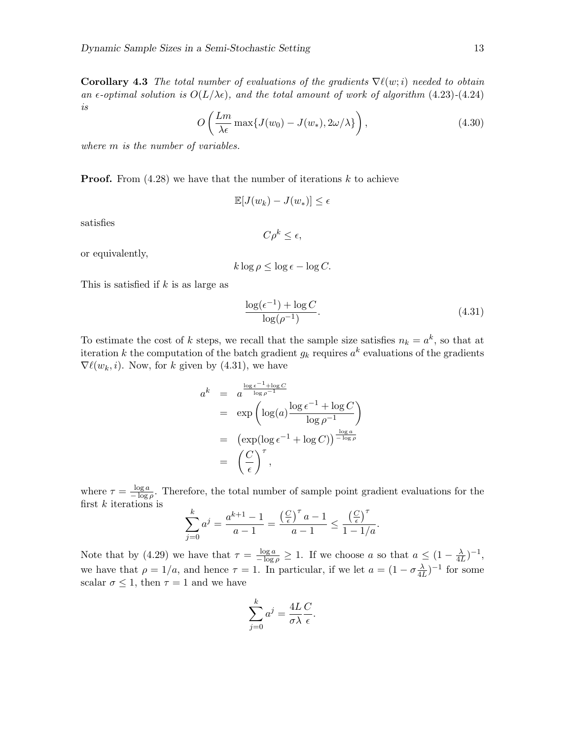**Corollary 4.3** The total number of evaluations of the gradients  $\nabla \ell(w;i)$  needed to obtain an  $\epsilon$ -optimal solution is  $O(L/\lambda \epsilon)$ , and the total amount of work of algorithm (4.23)-(4.24) is

$$
O\left(\frac{Lm}{\lambda\epsilon}\max\{J(w_0) - J(w_*), 2\omega/\lambda\}\right),\tag{4.30}
$$

where  $m$  is the number of variables.

**Proof.** From  $(4.28)$  we have that the number of iterations k to achieve

$$
\mathbb{E}[J(w_k) - J(w_*)] \le \epsilon
$$

satisfies

$$
C\rho^k \leq \epsilon,
$$

or equivalently,

$$
k \log \rho \le \log \epsilon - \log C.
$$

This is satisfied if  $k$  is as large as

$$
\frac{\log(\epsilon^{-1}) + \log C}{\log(\rho^{-1})}.
$$
\n(4.31)

To estimate the cost of k steps, we recall that the sample size satisfies  $n_k = a^k$ , so that at iteration k the computation of the batch gradient  $g_k$  requires  $a^k$  evaluations of the gradients  $\nabla \ell(w_k, i)$ . Now, for k given by (4.31), we have

$$
a^{k} = a^{\frac{\log \epsilon^{-1} + \log C}{\log \rho^{-1}}}
$$
  
= 
$$
\exp\left(\log(a) \frac{\log \epsilon^{-1} + \log C}{\log \rho^{-1}}\right)
$$
  
= 
$$
\left(\exp(\log \epsilon^{-1} + \log C)\right)^{\frac{\log a}{-\log \rho}}
$$
  
= 
$$
\left(\frac{C}{\epsilon}\right)^{\tau},
$$

where  $\tau = \frac{\log a}{a}$  $\frac{\log a}{-\log \rho}$ . Therefore, the total number of sample point gradient evaluations for the first  $k$  iterations is

$$
\sum_{j=0}^{k} a^j = \frac{a^{k+1} - 1}{a - 1} = \frac{\left(\frac{C}{\epsilon}\right)^{\tau} a - 1}{a - 1} \le \frac{\left(\frac{C}{\epsilon}\right)^{\tau}}{1 - 1/a}.
$$

Note that by (4.29) we have that  $\tau = \frac{\log a}{-\log \rho} \geq 1$ . If we choose a so that  $a \leq (1 - \frac{\lambda}{4l})$  $\frac{\lambda}{4L}$ )<sup>-1</sup>, we have that  $\rho = 1/a$ , and hence  $\tau = 1$ . In particular, if we let  $a = (1 - \sigma_{AB})$  $\frac{\lambda}{4L}$ )<sup>-1</sup> for some scalar  $\sigma \leq 1$ , then  $\tau = 1$  and we have

$$
\sum_{j=0}^{k} a^j = \frac{4L}{\sigma \lambda} \frac{C}{\epsilon}.
$$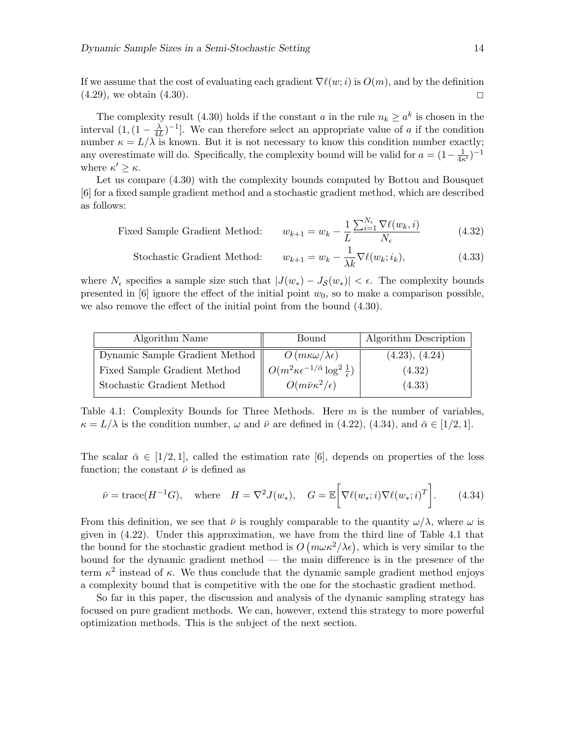If we assume that the cost of evaluating each gradient  $\nabla \ell(w;i)$  is  $O(m)$ , and by the definition  $(4.29)$ , we obtain  $(4.30)$ .

The complexity result (4.30) holds if the constant a in the rule  $n_k \geq a^k$  is chosen in the interval  $(1,(1-\frac{\lambda}{4l})$  $\frac{\lambda}{4L}$ )<sup>-1</sup>. We can therefore select an appropriate value of a if the condition number  $\kappa = L/\lambda$  is known. But it is not necessary to know this condition number exactly; any overestimate will do. Specifically, the complexity bound will be valid for  $a = (1 - \frac{1}{4\kappa'})^{-1}$ where  $\kappa' \geq \kappa$ .

Let us compare (4.30) with the complexity bounds computed by Bottou and Bousquet [6] for a fixed sample gradient method and a stochastic gradient method, which are described as follows:

Fixed Sample Gradient Method: 
$$
w_{k+1} = w_k - \frac{1}{L} \frac{\sum_{i=1}^{N_{\epsilon}} \nabla \ell(w_k, i)}{N_{\epsilon}}
$$
(4.32)

Stochastic Gradient Method: 
$$
w_{k+1} = w_k - \frac{1}{\lambda k} \nabla \ell(w_k; i_k), \tag{4.33}
$$

where  $N_{\epsilon}$  specifies a sample size such that  $|J(w_*) - J_{\mathcal{S}}(w_*)| < \epsilon$ . The complexity bounds presented in  $[6]$  ignore the effect of the initial point  $w_0$ , so to make a comparison possible, we also remove the effect of the initial point from the bound (4.30).

| Algorithm Name                 | Bound                                                                          | Algorithm Description |
|--------------------------------|--------------------------------------------------------------------------------|-----------------------|
| Dynamic Sample Gradient Method | $O(m\kappa\omega/\lambda\epsilon)$                                             | (4.23), (4.24)        |
| Fixed Sample Gradient Method   | $\parallel O(m^2 \kappa \epsilon^{-1/\bar{\alpha}} \log^2 \frac{1}{\epsilon})$ | (4.32)                |
| Stochastic Gradient Method     | $O(m\bar{\nu}\kappa^2/\epsilon)$                                               | (4.33)                |

Table 4.1: Complexity Bounds for Three Methods. Here  $m$  is the number of variables,  $\kappa = L/\lambda$  is the condition number,  $\omega$  and  $\bar{\nu}$  are defined in (4.22), (4.34), and  $\bar{\alpha} \in [1/2, 1]$ .

The scalar  $\bar{\alpha} \in [1/2, 1]$ , called the estimation rate [6], depends on properties of the loss function; the constant  $\bar{\nu}$  is defined as

$$
\bar{\nu} = \text{trace}(H^{-1}G), \quad \text{where} \quad H = \nabla^2 J(w_*), \quad G = \mathbb{E}\bigg[\nabla \ell(w_*; i)\nabla \ell(w_*; i)^T\bigg]. \tag{4.34}
$$

From this definition, we see that  $\bar{\nu}$  is roughly comparable to the quantity  $\omega/\lambda$ , where  $\omega$  is given in (4.22). Under this approximation, we have from the third line of Table 4.1 that the bound for the stochastic gradient method is  $O(m\omega\kappa^2/\lambda\epsilon)$ , which is very similar to the bound for the dynamic gradient method — the main difference is in the presence of the term  $\kappa^2$  instead of  $\kappa$ . We thus conclude that the dynamic sample gradient method enjoys a complexity bound that is competitive with the one for the stochastic gradient method.

So far in this paper, the discussion and analysis of the dynamic sampling strategy has focused on pure gradient methods. We can, however, extend this strategy to more powerful optimization methods. This is the subject of the next section.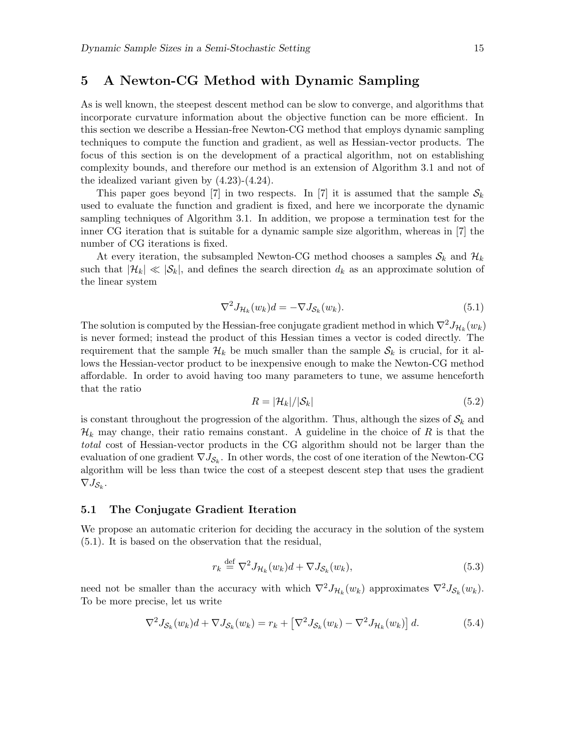# 5 A Newton-CG Method with Dynamic Sampling

As is well known, the steepest descent method can be slow to converge, and algorithms that incorporate curvature information about the objective function can be more efficient. In this section we describe a Hessian-free Newton-CG method that employs dynamic sampling techniques to compute the function and gradient, as well as Hessian-vector products. The focus of this section is on the development of a practical algorithm, not on establishing complexity bounds, and therefore our method is an extension of Algorithm 3.1 and not of the idealized variant given by (4.23)-(4.24).

This paper goes beyond [7] in two respects. In [7] it is assumed that the sample  $S_k$ used to evaluate the function and gradient is fixed, and here we incorporate the dynamic sampling techniques of Algorithm 3.1. In addition, we propose a termination test for the inner CG iteration that is suitable for a dynamic sample size algorithm, whereas in [7] the number of CG iterations is fixed.

At every iteration, the subsampled Newton-CG method chooses a samples  $\mathcal{S}_k$  and  $\mathcal{H}_k$ such that  $|\mathcal{H}_k| \ll |\mathcal{S}_k|$ , and defines the search direction  $d_k$  as an approximate solution of the linear system

$$
\nabla^2 J_{\mathcal{H}_k}(w_k) d = -\nabla J_{\mathcal{S}_k}(w_k). \tag{5.1}
$$

The solution is computed by the Hessian-free conjugate gradient method in which  $\nabla^2 J_{\mathcal{H}_k}(w_k)$ is never formed; instead the product of this Hessian times a vector is coded directly. The requirement that the sample  $\mathcal{H}_k$  be much smaller than the sample  $\mathcal{S}_k$  is crucial, for it allows the Hessian-vector product to be inexpensive enough to make the Newton-CG method affordable. In order to avoid having too many parameters to tune, we assume henceforth that the ratio

$$
R = |\mathcal{H}_k| / |\mathcal{S}_k| \tag{5.2}
$$

is constant throughout the progression of the algorithm. Thus, although the sizes of  $\mathcal{S}_k$  and  $\mathcal{H}_k$  may change, their ratio remains constant. A guideline in the choice of R is that the total cost of Hessian-vector products in the CG algorithm should not be larger than the evaluation of one gradient  $\nabla J_{\mathcal{S}_k}$ . In other words, the cost of one iteration of the Newton-CG algorithm will be less than twice the cost of a steepest descent step that uses the gradient  $\nabla J_{\mathcal{S}_k}$ .

#### 5.1 The Conjugate Gradient Iteration

We propose an automatic criterion for deciding the accuracy in the solution of the system (5.1). It is based on the observation that the residual,

$$
r_k \stackrel{\text{def}}{=} \nabla^2 J_{\mathcal{H}_k}(w_k) d + \nabla J_{\mathcal{S}_k}(w_k),\tag{5.3}
$$

need not be smaller than the accuracy with which  $\nabla^2 J_{\mathcal{H}_k}(w_k)$  approximates  $\nabla^2 J_{\mathcal{S}_k}(w_k)$ . To be more precise, let us write

$$
\nabla^2 J_{\mathcal{S}_k}(w_k) d + \nabla J_{\mathcal{S}_k}(w_k) = r_k + \left[ \nabla^2 J_{\mathcal{S}_k}(w_k) - \nabla^2 J_{\mathcal{H}_k}(w_k) \right] d. \tag{5.4}
$$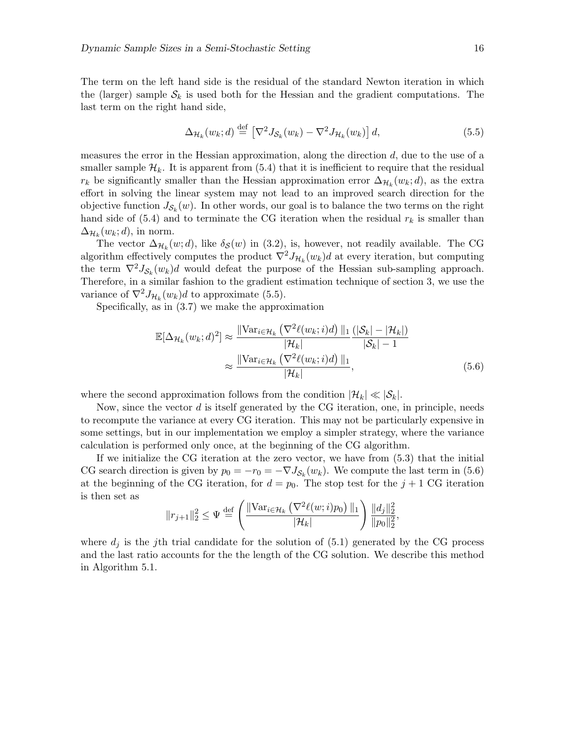The term on the left hand side is the residual of the standard Newton iteration in which the (larger) sample  $S_k$  is used both for the Hessian and the gradient computations. The last term on the right hand side,

$$
\Delta_{\mathcal{H}_k}(w_k; d) \stackrel{\text{def}}{=} \left[ \nabla^2 J_{\mathcal{S}_k}(w_k) - \nabla^2 J_{\mathcal{H}_k}(w_k) \right] d,\tag{5.5}
$$

measures the error in the Hessian approximation, along the direction  $d$ , due to the use of a smaller sample  $\mathcal{H}_k$ . It is apparent from (5.4) that it is inefficient to require that the residual  $r_k$  be significantly smaller than the Hessian approximation error  $\Delta_{\mathcal{H}_k}(w_k; d)$ , as the extra effort in solving the linear system may not lead to an improved search direction for the objective function  $J_{\mathcal{S}_k}(w)$ . In other words, our goal is to balance the two terms on the right hand side of  $(5.4)$  and to terminate the CG iteration when the residual  $r_k$  is smaller than  $\Delta_{\mathcal{H}_k}(w_k; d)$ , in norm.

The vector  $\Delta_{\mathcal{H}_k}(w; d)$ , like  $\delta_{\mathcal{S}}(w)$  in (3.2), is, however, not readily available. The CG algorithm effectively computes the product  $\nabla^2 J_{\mathcal{H}_k}(w_k) d$  at every iteration, but computing the term  $\nabla^2 J_{\mathcal{S}_k}(w_k) d$  would defeat the purpose of the Hessian sub-sampling approach. Therefore, in a similar fashion to the gradient estimation technique of section 3, we use the variance of  $\nabla^2 J_{\mathcal{H}_k}(w_k) d$  to approximate (5.5).

Specifically, as in (3.7) we make the approximation

$$
\mathbb{E}[\Delta_{\mathcal{H}_k}(w_k; d)^2] \approx \frac{\|\text{Var}_{i \in \mathcal{H}_k} \left(\nabla^2 \ell(w_k; i) d\right) \|_1}{|\mathcal{H}_k|} \frac{(|\mathcal{S}_k| - |\mathcal{H}_k|)}{|\mathcal{S}_k| - 1}
$$

$$
\approx \frac{\|\text{Var}_{i \in \mathcal{H}_k} \left(\nabla^2 \ell(w_k; i) d\right) \|_1}{|\mathcal{H}_k|},\tag{5.6}
$$

where the second approximation follows from the condition  $|\mathcal{H}_k| \ll |\mathcal{S}_k|$ .

Now, since the vector  $d$  is itself generated by the CG iteration, one, in principle, needs to recompute the variance at every CG iteration. This may not be particularly expensive in some settings, but in our implementation we employ a simpler strategy, where the variance calculation is performed only once, at the beginning of the CG algorithm.

If we initialize the CG iteration at the zero vector, we have from (5.3) that the initial CG search direction is given by  $p_0 = -r_0 = -\nabla J_{\mathcal{S}_k}(w_k)$ . We compute the last term in (5.6) at the beginning of the CG iteration, for  $d = p_0$ . The stop test for the  $j + 1$  CG iteration is then set as

$$
||r_{j+1}||_2^2 \le \Psi \stackrel{\text{def}}{=} \left( \frac{||\text{Var}_{i \in \mathcal{H}_k} \left( \nabla^2 \ell(w; i) p_0 \right)||_1}{|\mathcal{H}_k|} \right) \frac{||d_j||_2^2}{||p_0||_2^2},
$$

where  $d_i$  is the j<sup>th</sup> trial candidate for the solution of (5.1) generated by the CG process and the last ratio accounts for the the length of the CG solution. We describe this method in Algorithm 5.1.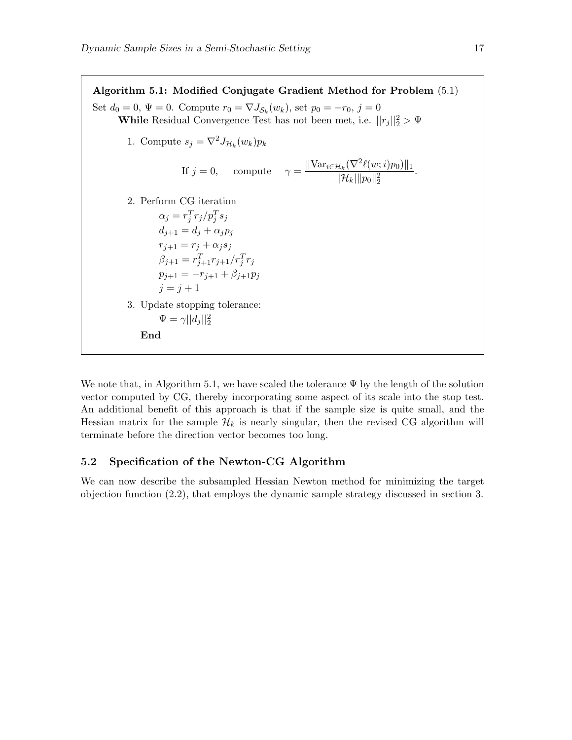Algorithm 5.1: Modified Conjugate Gradient Method for Problem (5.1) Set  $d_0 = 0$ ,  $\Psi = 0$ . Compute  $r_0 = \nabla J_{\mathcal{S}_k}(w_k)$ , set  $p_0 = -r_0$ ,  $j = 0$ While Residual Convergence Test has not been met, i.e.  $||r_j||_2^2 > \Psi$ 1. Compute  $s_j = \nabla^2 J_{\mathcal{H}_k}(w_k) p_k$ If  $j = 0$ , compute  $\gamma = \frac{\|\text{Var}_{i \in \mathcal{H}_k}(\nabla^2 \ell(w; i)p_0)\|_1}{\|\mathcal{H}_k\| \|\mathcal{H}_k\|_1}$  $||\mathcal{H}_k|| |p_0||_2^2$ . 2. Perform CG iteration  $\alpha_j = r_j^T r_j/p_j^T s_j$  $d_{j+1} = d_j + \alpha_j p_j$  $r_{i+1} = r_i + \alpha_i s_i$  $\beta_{j+1} = r_{j+1}^T r_{j+1}/r_j^T r_j$  $p_{j+1} = -r_{j+1} + \beta_{j+1}p_j$  $i = i + 1$ 3. Update stopping tolerance:  $\Psi = \gamma ||d_j||_2^2$ End

We note that, in Algorithm 5.1, we have scaled the tolerance  $\Psi$  by the length of the solution vector computed by CG, thereby incorporating some aspect of its scale into the stop test. An additional benefit of this approach is that if the sample size is quite small, and the Hessian matrix for the sample  $\mathcal{H}_k$  is nearly singular, then the revised CG algorithm will terminate before the direction vector becomes too long.

### 5.2 Specification of the Newton-CG Algorithm

We can now describe the subsampled Hessian Newton method for minimizing the target objection function (2.2), that employs the dynamic sample strategy discussed in section 3.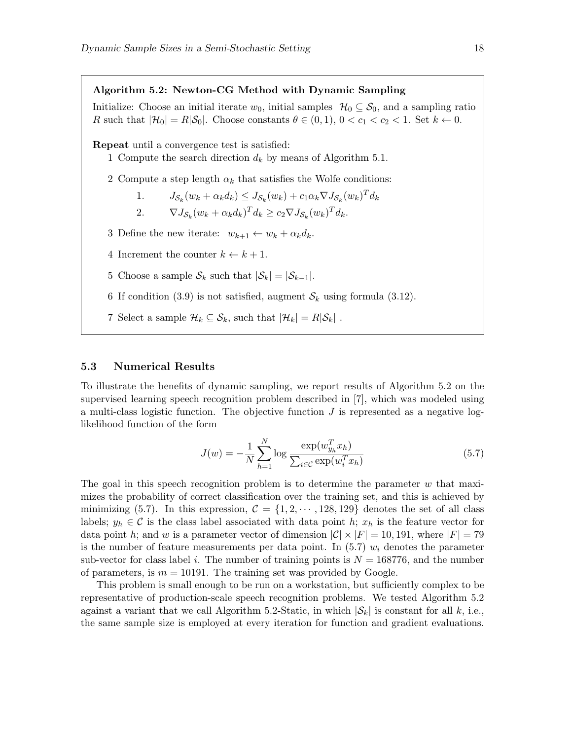Algorithm 5.2: Newton-CG Method with Dynamic Sampling Initialize: Choose an initial iterate  $w_0$ , initial samples  $\mathcal{H}_0 \subseteq \mathcal{S}_0$ , and a sampling ratio R such that  $|\mathcal{H}_0| = R|\mathcal{S}_0|$ . Choose constants  $\theta \in (0,1)$ ,  $0 < c_1 < c_2 < 1$ . Set  $k \leftarrow 0$ . Repeat until a convergence test is satisfied: 1 Compute the search direction  $d_k$  by means of Algorithm 5.1. 2 Compute a step length  $\alpha_k$  that satisfies the Wolfe conditions: 1.  $J_{\mathcal{S}_k}(w_k + \alpha_k d_k) \leq J_{\mathcal{S}_k}(w_k) + c_1 \alpha_k \nabla J_{\mathcal{S}_k}(w_k)^T d_k$ 2.  $\nabla J_{\mathcal{S}_k}(w_k + \alpha_k d_k)^T d_k \ge c_2 \nabla J_{\mathcal{S}_k}(w_k)^T d_k.$ 3 Define the new iterate:  $w_{k+1} \leftarrow w_k + \alpha_k d_k$ . 4 Increment the counter  $k \leftarrow k + 1$ . 5 Choose a sample  $S_k$  such that  $|S_k| = |S_{k-1}|$ . 6 If condition (3.9) is not satisfied, augment  $S_k$  using formula (3.12). 7 Select a sample  $\mathcal{H}_k \subseteq \mathcal{S}_k$ , such that  $|\mathcal{H}_k| = R|\mathcal{S}_k|$ .

#### 5.3 Numerical Results

To illustrate the benefits of dynamic sampling, we report results of Algorithm 5.2 on the supervised learning speech recognition problem described in [7], which was modeled using a multi-class logistic function. The objective function  $J$  is represented as a negative loglikelihood function of the form

$$
J(w) = -\frac{1}{N} \sum_{h=1}^{N} \log \frac{\exp(w_{y_h}^T x_h)}{\sum_{i \in \mathcal{C}} \exp(w_i^T x_h)}
$$
(5.7)

The goal in this speech recognition problem is to determine the parameter  $w$  that maximizes the probability of correct classification over the training set, and this is achieved by minimizing (5.7). In this expression,  $C = \{1, 2, \dots, 128, 129\}$  denotes the set of all class labels;  $y_h \in \mathcal{C}$  is the class label associated with data point h;  $x_h$  is the feature vector for data point h; and w is a parameter vector of dimension  $|\mathcal{C}| \times |F| = 10, 191$ , where  $|F| = 79$ is the number of feature measurements per data point. In  $(5.7)$   $w<sub>i</sub>$  denotes the parameter sub-vector for class label i. The number of training points is  $N = 168776$ , and the number of parameters, is  $m = 10191$ . The training set was provided by Google.

This problem is small enough to be run on a workstation, but sufficiently complex to be representative of production-scale speech recognition problems. We tested Algorithm 5.2 against a variant that we call Algorithm 5.2-Static, in which  $|\mathcal{S}_k|$  is constant for all k, i.e., the same sample size is employed at every iteration for function and gradient evaluations.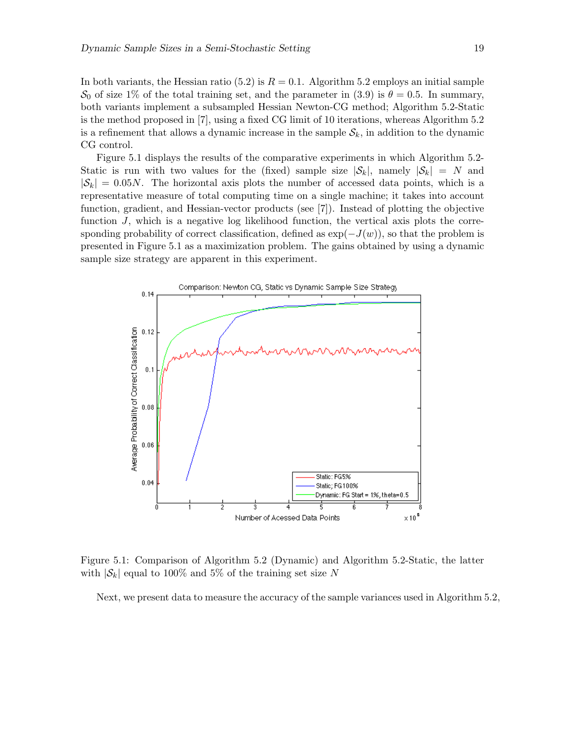In both variants, the Hessian ratio (5.2) is  $R = 0.1$ . Algorithm 5.2 employs an initial sample  $\mathcal{S}_0$  of size 1% of the total training set, and the parameter in (3.9) is  $\theta = 0.5$ . In summary, both variants implement a subsampled Hessian Newton-CG method; Algorithm 5.2-Static is the method proposed in [7], using a fixed CG limit of 10 iterations, whereas Algorithm 5.2 is a refinement that allows a dynamic increase in the sample  $S_k$ , in addition to the dynamic CG control.

Figure 5.1 displays the results of the comparative experiments in which Algorithm 5.2- Static is run with two values for the (fixed) sample size  $|\mathcal{S}_k|$ , namely  $|\mathcal{S}_k| = N$  and  $|\mathcal{S}_k| = 0.05N$ . The horizontal axis plots the number of accessed data points, which is a representative measure of total computing time on a single machine; it takes into account function, gradient, and Hessian-vector products (see [7]). Instead of plotting the objective function J, which is a negative log likelihood function, the vertical axis plots the corresponding probability of correct classification, defined as  $\exp(-J(w))$ , so that the problem is presented in Figure 5.1 as a maximization problem. The gains obtained by using a dynamic sample size strategy are apparent in this experiment.



Figure 5.1: Comparison of Algorithm 5.2 (Dynamic) and Algorithm 5.2-Static, the latter with  $|\mathcal{S}_k|$  equal to 100% and 5% of the training set size N

Next, we present data to measure the accuracy of the sample variances used in Algorithm 5.2,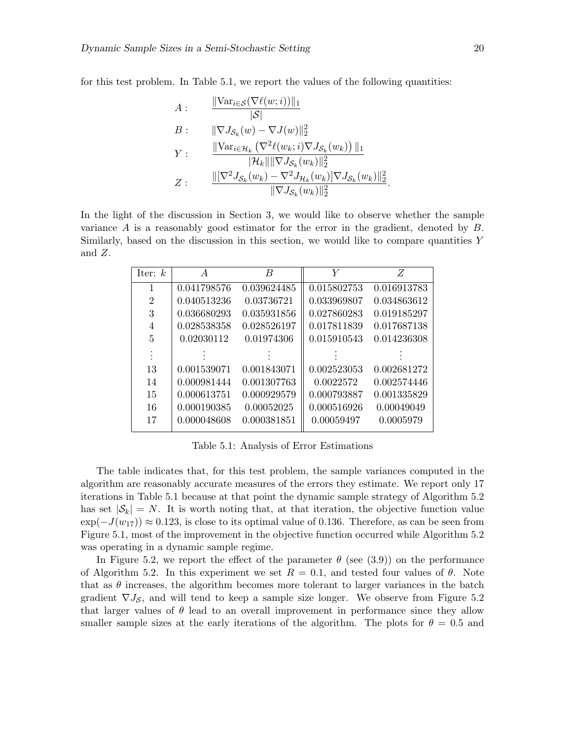for this test problem. In Table 5.1, we report the values of the following quantities:

$$
A: \frac{\|\text{Var}_{i \in S}(\nabla \ell(w; i))\|_1}{|\mathcal{S}|} B: \frac{\|\nabla J_{\mathcal{S}_k}(w) - \nabla J(w)\|_2^2}{\|\nabla u_{i \in \mathcal{H}_k}(\nabla^2 \ell(w_k; i) \nabla J_{\mathcal{S}_k}(w_k))\|_1} Y: \frac{\|\text{Var}_{i \in \mathcal{H}_k}(\nabla^2 \ell(w_k; i) \nabla J_{\mathcal{S}_k}(w_k))\|_1^2}{\|\nabla J_{\mathcal{S}_k}(w_k) - \nabla^2 J_{\mathcal{H}_k}(w_k)\|_2^2} Z: \frac{\|\nabla^2 J_{\mathcal{S}_k}(w_k) - \nabla^2 J_{\mathcal{H}_k}(w_k)\|_2^2}{\|\nabla J_{\mathcal{S}_k}(w_k)\|_2^2}
$$

In the light of the discussion in Section 3, we would like to observe whether the sample variance A is a reasonably good estimator for the error in the gradient, denoted by B. Similarly, based on the discussion in this section, we would like to compare quantities Y and Z.

| Iter: $k$      | A           | B           | Y           | Ζ           |
|----------------|-------------|-------------|-------------|-------------|
| 1              | 0.041798576 | 0.039624485 | 0.015802753 | 0.016913783 |
| $\overline{2}$ | 0.040513236 | 0.03736721  | 0.033969807 | 0.034863612 |
| 3              | 0.036680293 | 0.035931856 | 0.027860283 | 0.019185297 |
| 4              | 0.028538358 | 0.028526197 | 0.017811839 | 0.017687138 |
| 5              | 0.02030112  | 0.01974306  | 0.015910543 | 0.014236308 |
|                |             |             |             |             |
| 13             | 0.001539071 | 0.001843071 | 0.002523053 | 0.002681272 |
| 14             | 0.000981444 | 0.001307763 | 0.0022572   | 0.002574446 |
| 15             | 0.000613751 | 0.000929579 | 0.000793887 | 0.001335829 |
| 16             | 0.000190385 | 0.00052025  | 0.000516926 | 0.00049049  |
| 17             | 0.000048608 | 0.000381851 | 0.00059497  | 0.0005979   |

Table 5.1: Analysis of Error Estimations

The table indicates that, for this test problem, the sample variances computed in the algorithm are reasonably accurate measures of the errors they estimate. We report only 17 iterations in Table 5.1 because at that point the dynamic sample strategy of Algorithm 5.2 has set  $|\mathcal{S}_k| = N$ . It is worth noting that, at that iteration, the objective function value  $\exp(-J(w_{17})) \approx 0.123$ , is close to its optimal value of 0.136. Therefore, as can be seen from Figure 5.1, most of the improvement in the objective function occurred while Algorithm 5.2 was operating in a dynamic sample regime.

In Figure 5.2, we report the effect of the parameter  $\theta$  (see (3.9)) on the performance of Algorithm 5.2. In this experiment we set  $R = 0.1$ , and tested four values of  $\theta$ . Note that as  $\theta$  increases, the algorithm becomes more tolerant to larger variances in the batch gradient  $\nabla J_{\mathcal{S}}$ , and will tend to keep a sample size longer. We observe from Figure 5.2 that larger values of  $\theta$  lead to an overall improvement in performance since they allow smaller sample sizes at the early iterations of the algorithm. The plots for  $\theta = 0.5$  and

.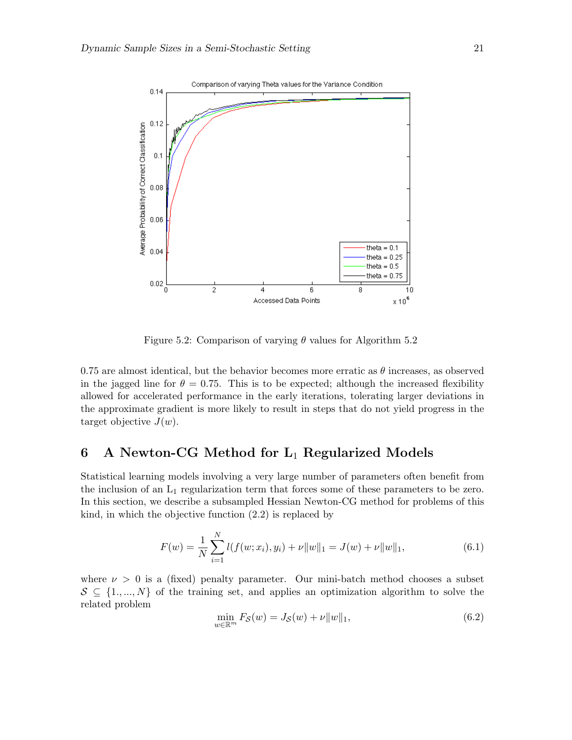

Figure 5.2: Comparison of varying  $\theta$  values for Algorithm 5.2

0.75 are almost identical, but the behavior becomes more erratic as  $\theta$  increases, as observed in the jagged line for  $\theta = 0.75$ . This is to be expected; although the increased flexibility allowed for accelerated performance in the early iterations, tolerating larger deviations in the approximate gradient is more likely to result in steps that do not yield progress in the target objective  $J(w)$ .

# 6 A Newton-CG Method for  $L_1$  Regularized Models

Statistical learning models involving a very large number of parameters often benefit from the inclusion of an  $L_1$  regularization term that forces some of these parameters to be zero. In this section, we describe a subsampled Hessian Newton-CG method for problems of this kind, in which the objective function (2.2) is replaced by

$$
F(w) = \frac{1}{N} \sum_{i=1}^{N} l(f(w; x_i), y_i) + \nu \|w\|_1 = J(w) + \nu \|w\|_1,
$$
\n(6.1)

where  $\nu > 0$  is a (fixed) penalty parameter. Our mini-batch method chooses a subset  $S \subseteq \{1, ..., N\}$  of the training set, and applies an optimization algorithm to solve the related problem

$$
\min_{w \in \mathbb{R}^m} F_{\mathcal{S}}(w) = J_{\mathcal{S}}(w) + \nu \|w\|_1,
$$
\n(6.2)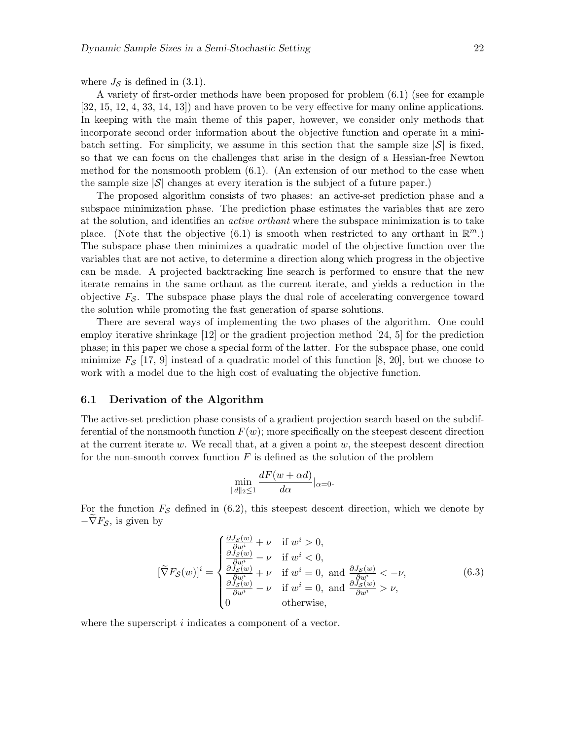where  $J_{\mathcal{S}}$  is defined in (3.1).

A variety of first-order methods have been proposed for problem (6.1) (see for example [32, 15, 12, 4, 33, 14, 13]) and have proven to be very effective for many online applications. In keeping with the main theme of this paper, however, we consider only methods that incorporate second order information about the objective function and operate in a minibatch setting. For simplicity, we assume in this section that the sample size  $|\mathcal{S}|$  is fixed, so that we can focus on the challenges that arise in the design of a Hessian-free Newton method for the nonsmooth problem (6.1). (An extension of our method to the case when the sample size  $|\mathcal{S}|$  changes at every iteration is the subject of a future paper.)

The proposed algorithm consists of two phases: an active-set prediction phase and a subspace minimization phase. The prediction phase estimates the variables that are zero at the solution, and identifies an active orthant where the subspace minimization is to take place. (Note that the objective  $(6.1)$  is smooth when restricted to any orthant in  $\mathbb{R}^m$ .) The subspace phase then minimizes a quadratic model of the objective function over the variables that are not active, to determine a direction along which progress in the objective can be made. A projected backtracking line search is performed to ensure that the new iterate remains in the same orthant as the current iterate, and yields a reduction in the objective  $F_{\mathcal{S}}$ . The subspace phase plays the dual role of accelerating convergence toward the solution while promoting the fast generation of sparse solutions.

There are several ways of implementing the two phases of the algorithm. One could employ iterative shrinkage [12] or the gradient projection method [24, 5] for the prediction phase; in this paper we chose a special form of the latter. For the subspace phase, one could minimize  $F_S$  [17, 9] instead of a quadratic model of this function [8, 20], but we choose to work with a model due to the high cost of evaluating the objective function.

#### 6.1 Derivation of the Algorithm

The active-set prediction phase consists of a gradient projection search based on the subdifferential of the nonsmooth function  $F(w)$ ; more specifically on the steepest descent direction at the current iterate w. We recall that, at a given a point  $w$ , the steepest descent direction for the non-smooth convex function  $F$  is defined as the solution of the problem

$$
\min_{\|d\|_2\leq 1} \frac{dF(w+\alpha d)}{d\alpha}|_{\alpha=0}.
$$

For the function  $F_{\mathcal{S}}$  defined in (6.2), this steepest descent direction, which we denote by  $-\nabla F_{\mathcal{S}}$ , is given by

$$
[\widetilde{\nabla}F_{\mathcal{S}}(w)]^{i} = \begin{cases} \frac{\partial J_{\mathcal{S}}(w)}{\partial w^{i}} + \nu & \text{if } w^{i} > 0, \\ \frac{\partial J_{\mathcal{S}}(w)}{\partial w^{i}} - \nu & \text{if } w^{i} < 0, \\ \frac{\partial J_{\mathcal{S}}(w)}{\partial w^{i}} + \nu & \text{if } w^{i} = 0, \text{ and } \frac{\partial J_{\mathcal{S}}(w)}{\partial w^{i}} < -\nu, \\ \frac{\partial J_{\mathcal{S}}(w)}{\partial w^{i}} - \nu & \text{if } w^{i} = 0, \text{ and } \frac{\partial J_{\mathcal{S}}(w)}{\partial w^{i}} > \nu, \\ 0 & \text{otherwise,} \end{cases}
$$
(6.3)

where the superscript i indicates a component of a vector.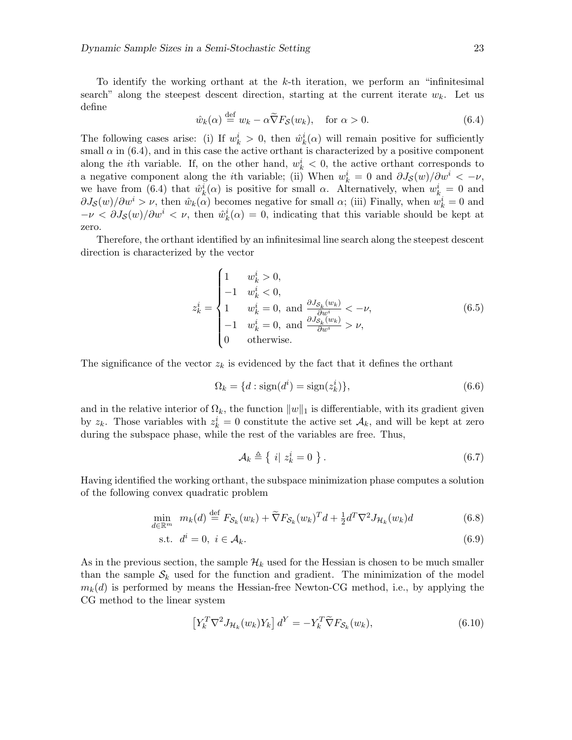To identify the working orthant at the  $k$ -th iteration, we perform an "infinitesimal" search" along the steepest descent direction, starting at the current iterate  $w_k$ . Let us define

$$
\hat{w}_k(\alpha) \stackrel{\text{def}}{=} w_k - \alpha \tilde{\nabla} F_{\mathcal{S}}(w_k), \quad \text{for } \alpha > 0.
$$
\n(6.4)

The following cases arise: (i) If  $w_k^i > 0$ , then  $\hat{w}_k^i(\alpha)$  will remain positive for sufficiently small  $\alpha$  in (6.4), and in this case the active orthant is characterized by a positive component along the *i*th variable. If, on the other hand,  $w_k^i < 0$ , the active orthant corresponds to a negative component along the *i*th variable; (ii) When  $w_k^i = 0$  and  $\partial J_{\mathcal{S}}(w)/\partial w^i < -\nu$ , we have from (6.4) that  $\hat{w}_k^i(\alpha)$  is positive for small  $\alpha$ . Alternatively, when  $w_k^i = 0$  and  $\partial J_{\mathcal{S}}(w)/\partial w^{i} > \nu$ , then  $\hat{w}_{k}(\alpha)$  becomes negative for small  $\alpha$ ; (iii) Finally, when  $w_{k}^{i} = 0$  and  $-\nu < \partial J_{\mathcal{S}}(w)/\partial w^{i} < \nu$ , then  $\hat{w}_{k}^{i}(\alpha) = 0$ , indicating that this variable should be kept at zero.

Therefore, the orthant identified by an infinitesimal line search along the steepest descent direction is characterized by the vector

$$
z_{k}^{i} = \begin{cases} 1 & w_{k}^{i} > 0, \\ -1 & w_{k}^{i} < 0, \\ 1 & w_{k}^{i} = 0, \text{ and } \frac{\partial J_{S_{k}}(w_{k})}{\partial w^{i}} < -\nu, \\ -1 & w_{k}^{i} = 0, \text{ and } \frac{\partial J_{S_{k}}(w_{k})}{\partial w^{i}} > \nu, \\ 0 & \text{otherwise.} \end{cases}
$$
(6.5)

The significance of the vector  $z_k$  is evidenced by the fact that it defines the orthant

$$
\Omega_k = \{d : \text{sign}(d^i) = \text{sign}(z_k^i)\},\tag{6.6}
$$

and in the relative interior of  $\Omega_k$ , the function  $||w||_1$  is differentiable, with its gradient given by  $z_k$ . Those variables with  $z_k^i = 0$  constitute the active set  $\mathcal{A}_k$ , and will be kept at zero during the subspace phase, while the rest of the variables are free. Thus,

$$
\mathcal{A}_k \triangleq \left\{ i \middle| z_k^i = 0 \right. \right\} . \tag{6.7}
$$

Having identified the working orthant, the subspace minimization phase computes a solution of the following convex quadratic problem

$$
\min_{d \in \mathbb{R}^m} \ m_k(d) \stackrel{\text{def}}{=} F_{\mathcal{S}_k}(w_k) + \widetilde{\nabla} F_{\mathcal{S}_k}(w_k)^T d + \frac{1}{2} d^T \nabla^2 J_{\mathcal{H}_k}(w_k) d \tag{6.8}
$$

$$
\text{s.t. } d^i = 0, \ i \in \mathcal{A}_k. \tag{6.9}
$$

As in the previous section, the sample  $\mathcal{H}_k$  used for the Hessian is chosen to be much smaller than the sample  $S_k$  used for the function and gradient. The minimization of the model  $m_k(d)$  is performed by means the Hessian-free Newton-CG method, i.e., by applying the CG method to the linear system

$$
\left[Y_k^T \nabla^2 J_{\mathcal{H}_k}(w_k) Y_k\right] d^Y = -Y_k^T \widetilde{\nabla} F_{\mathcal{S}_k}(w_k),\tag{6.10}
$$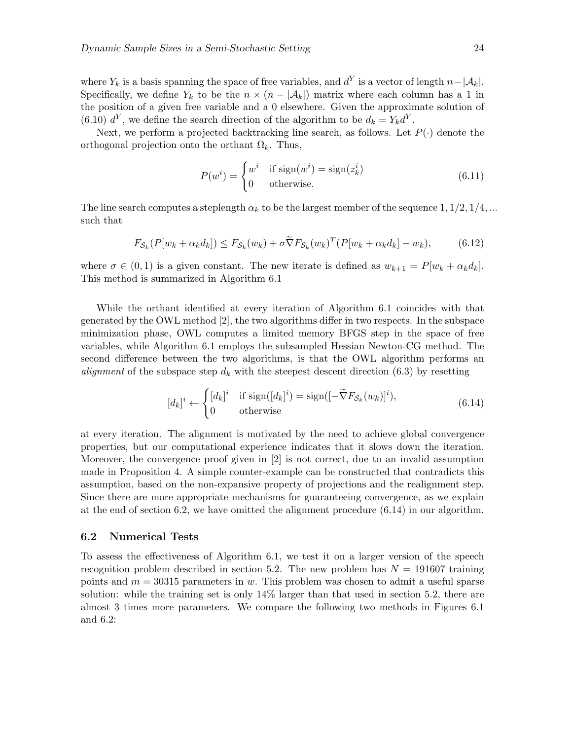where  $Y_k$  is a basis spanning the space of free variables, and  $d^Y$  is a vector of length  $n-|\mathcal{A}_k|$ . Specifically, we define  $Y_k$  to be the  $n \times (n - |\mathcal{A}_k|)$  matrix where each column has a 1 in the position of a given free variable and a 0 elsewhere. Given the approximate solution of (6.10)  $d^Y$ , we define the search direction of the algorithm to be  $d_k = Y_k d^Y$ .

Next, we perform a projected backtracking line search, as follows. Let  $P(\cdot)$  denote the orthogonal projection onto the orthant  $\Omega_k$ . Thus,

$$
P(w^{i}) = \begin{cases} w^{i} & \text{if sign}(w^{i}) = \text{sign}(z_{k}^{i}) \\ 0 & \text{otherwise.} \end{cases}
$$
 (6.11)

The line search computes a steplength  $\alpha_k$  to be the largest member of the sequence 1,  $1/2$ ,  $1/4$ , ... such that

$$
F_{\mathcal{S}_k}(P[w_k + \alpha_k d_k]) \leq F_{\mathcal{S}_k}(w_k) + \sigma \widetilde{\nabla} F_{\mathcal{S}_k}(w_k)^T (P[w_k + \alpha_k d_k] - w_k), \tag{6.12}
$$

where  $\sigma \in (0,1)$  is a given constant. The new iterate is defined as  $w_{k+1} = P[w_k + \alpha_k d_k]$ . This method is summarized in Algorithm 6.1

While the orthant identified at every iteration of Algorithm 6.1 coincides with that generated by the OWL method [2], the two algorithms differ in two respects. In the subspace minimization phase, OWL computes a limited memory BFGS step in the space of free variables, while Algorithm 6.1 employs the subsampled Hessian Newton-CG method. The second difference between the two algorithms, is that the OWL algorithm performs an *alignment* of the subspace step  $d_k$  with the steepest descent direction (6.3) by resetting

$$
[d_k]^i \leftarrow \begin{cases} [d_k]^i & \text{if sign}([d_k]^i) = \text{sign}([-\tilde{\nabla}F_{\mathcal{S}_k}(w_k)]^i), \\ 0 & \text{otherwise} \end{cases} \tag{6.14}
$$

at every iteration. The alignment is motivated by the need to achieve global convergence properties, but our computational experience indicates that it slows down the iteration. Moreover, the convergence proof given in [2] is not correct, due to an invalid assumption made in Proposition 4. A simple counter-example can be constructed that contradicts this assumption, based on the non-expansive property of projections and the realignment step. Since there are more appropriate mechanisms for guaranteeing convergence, as we explain at the end of section 6.2, we have omitted the alignment procedure (6.14) in our algorithm.

#### 6.2 Numerical Tests

To assess the effectiveness of Algorithm 6.1, we test it on a larger version of the speech recognition problem described in section 5.2. The new problem has  $N = 191607$  training points and  $m = 30315$  parameters in w. This problem was chosen to admit a useful sparse solution: while the training set is only 14% larger than that used in section 5.2, there are almost 3 times more parameters. We compare the following two methods in Figures 6.1 and 6.2: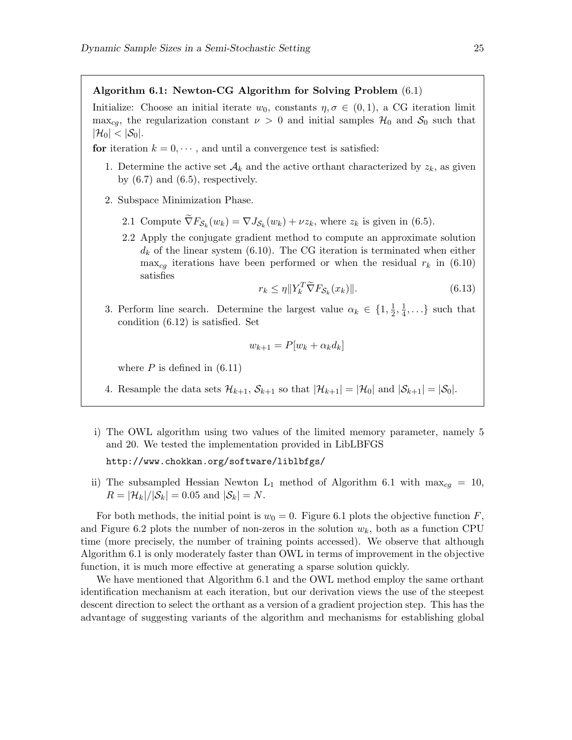#### Algorithm 6.1: Newton-CG Algorithm for Solving Problem (6.1)

Initialize: Choose an initial iterate  $w_0$ , constants  $\eta, \sigma \in (0,1)$ , a CG iteration limit max<sub>cg</sub>, the regularization constant  $\nu > 0$  and initial samples  $\mathcal{H}_0$  and  $\mathcal{S}_0$  such that  $|\mathcal{H}_0| < |\mathcal{S}_0|.$ 

- for iteration  $k = 0, \dots$ , and until a convergence test is satisfied:
	- 1. Determine the active set  $\mathcal{A}_k$  and the active orthant characterized by  $z_k$ , as given by  $(6.7)$  and  $(6.5)$ , respectively.
	- 2. Subspace Minimization Phase.
		- 2.1 Compute  $\nabla F_{\mathcal{S}_k}(w_k) = \nabla J_{\mathcal{S}_k}(w_k) + \nu z_k$ , where  $z_k$  is given in (6.5).
		- 2.2 Apply the conjugate gradient method to compute an approximate solution  $d_k$  of the linear system (6.10). The CG iteration is terminated when either  $\max_{cg}$  iterations have been performed or when the residual  $r_k$  in (6.10) satisfies

$$
r_k \leq \eta \| Y_k^T \widetilde{\nabla} F_{\mathcal{S}_k}(x_k) \|.
$$
\n(6.13)

3. Perform line search. Determine the largest value  $\alpha_k \in \{1, \frac{1}{2}\}$  $\frac{1}{2}, \frac{1}{4}$  $\frac{1}{4}, \ldots$  such that condition (6.12) is satisfied. Set

$$
w_{k+1} = P[w_k + \alpha_k d_k]
$$

where  $P$  is defined in  $(6.11)$ 

- 4. Resample the data sets  $\mathcal{H}_{k+1}$ ,  $\mathcal{S}_{k+1}$  so that  $|\mathcal{H}_{k+1}| = |\mathcal{H}_0|$  and  $|\mathcal{S}_{k+1}| = |\mathcal{S}_0|$ .
- i) The OWL algorithm using two values of the limited memory parameter, namely 5 and 20. We tested the implementation provided in LibLBFGS

http://www.chokkan.org/software/liblbfgs/

ii) The subsampled Hessian Newton L<sub>1</sub> method of Algorithm 6.1 with max<sub>cq</sub> = 10,  $R = |\mathcal{H}_k|/|\mathcal{S}_k| = 0.05$  and  $|\mathcal{S}_k| = N$ .

For both methods, the initial point is  $w_0 = 0$ . Figure 6.1 plots the objective function F, and Figure 6.2 plots the number of non-zeros in the solution  $w_k$ , both as a function CPU time (more precisely, the number of training points accessed). We observe that although Algorithm 6.1 is only moderately faster than OWL in terms of improvement in the objective function, it is much more effective at generating a sparse solution quickly.

We have mentioned that Algorithm 6.1 and the OWL method employ the same orthant identification mechanism at each iteration, but our derivation views the use of the steepest descent direction to select the orthant as a version of a gradient projection step. This has the advantage of suggesting variants of the algorithm and mechanisms for establishing global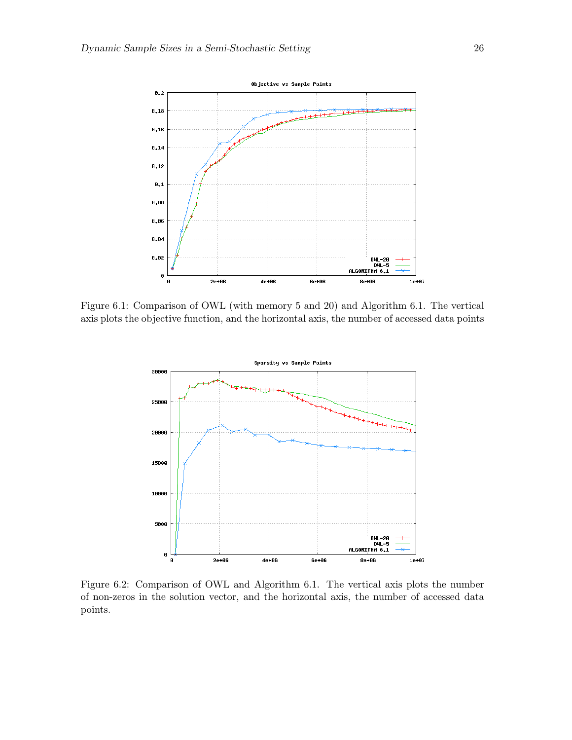

Figure 6.1: Comparison of OWL (with memory 5 and 20) and Algorithm 6.1. The vertical axis plots the objective function, and the horizontal axis, the number of accessed data points



Figure 6.2: Comparison of OWL and Algorithm 6.1. The vertical axis plots the number of non-zeros in the solution vector, and the horizontal axis, the number of accessed data points.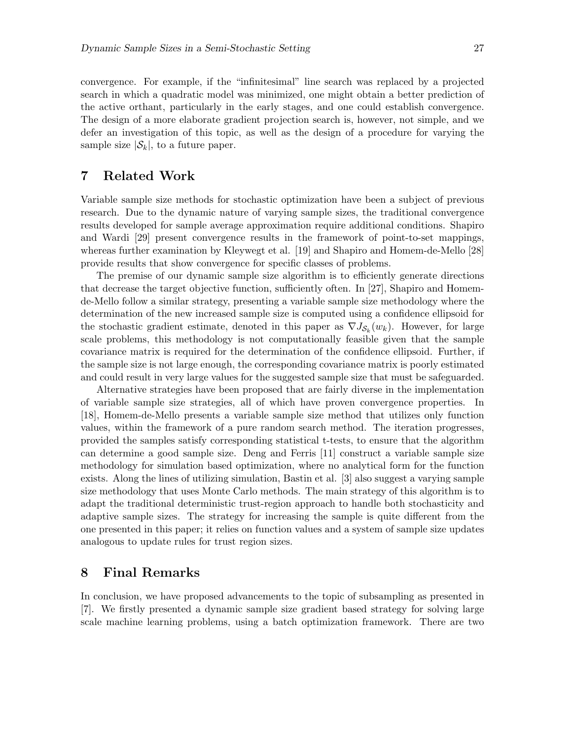convergence. For example, if the "infinitesimal" line search was replaced by a projected search in which a quadratic model was minimized, one might obtain a better prediction of the active orthant, particularly in the early stages, and one could establish convergence. The design of a more elaborate gradient projection search is, however, not simple, and we defer an investigation of this topic, as well as the design of a procedure for varying the sample size  $|\mathcal{S}_k|$ , to a future paper.

## 7 Related Work

Variable sample size methods for stochastic optimization have been a subject of previous research. Due to the dynamic nature of varying sample sizes, the traditional convergence results developed for sample average approximation require additional conditions. Shapiro and Wardi [29] present convergence results in the framework of point-to-set mappings, whereas further examination by Kleywegt et al. [19] and Shapiro and Homem-de-Mello [28] provide results that show convergence for specific classes of problems.

The premise of our dynamic sample size algorithm is to efficiently generate directions that decrease the target objective function, sufficiently often. In [27], Shapiro and Homemde-Mello follow a similar strategy, presenting a variable sample size methodology where the determination of the new increased sample size is computed using a confidence ellipsoid for the stochastic gradient estimate, denoted in this paper as  $\nabla J_{\mathcal{S}_k}(w_k)$ . However, for large scale problems, this methodology is not computationally feasible given that the sample covariance matrix is required for the determination of the confidence ellipsoid. Further, if the sample size is not large enough, the corresponding covariance matrix is poorly estimated and could result in very large values for the suggested sample size that must be safeguarded.

Alternative strategies have been proposed that are fairly diverse in the implementation of variable sample size strategies, all of which have proven convergence properties. In [18], Homem-de-Mello presents a variable sample size method that utilizes only function values, within the framework of a pure random search method. The iteration progresses, provided the samples satisfy corresponding statistical t-tests, to ensure that the algorithm can determine a good sample size. Deng and Ferris [11] construct a variable sample size methodology for simulation based optimization, where no analytical form for the function exists. Along the lines of utilizing simulation, Bastin et al. [3] also suggest a varying sample size methodology that uses Monte Carlo methods. The main strategy of this algorithm is to adapt the traditional deterministic trust-region approach to handle both stochasticity and adaptive sample sizes. The strategy for increasing the sample is quite different from the one presented in this paper; it relies on function values and a system of sample size updates analogous to update rules for trust region sizes.

### 8 Final Remarks

In conclusion, we have proposed advancements to the topic of subsampling as presented in [7]. We firstly presented a dynamic sample size gradient based strategy for solving large scale machine learning problems, using a batch optimization framework. There are two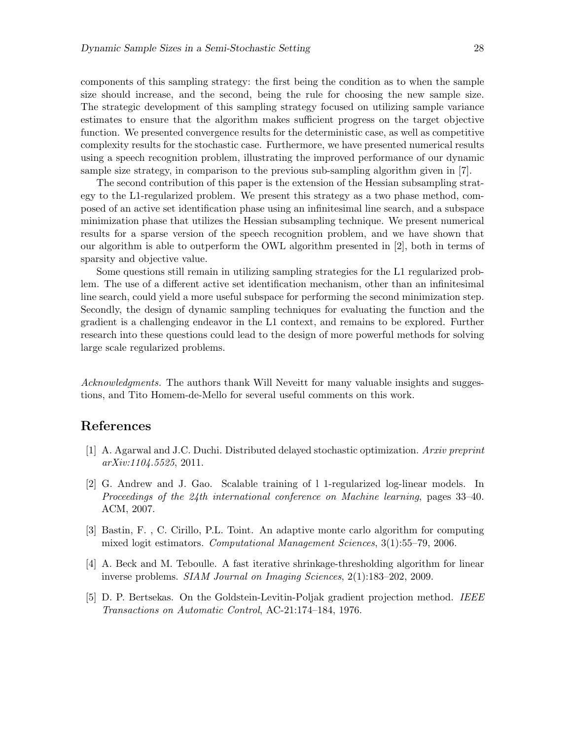components of this sampling strategy: the first being the condition as to when the sample size should increase, and the second, being the rule for choosing the new sample size. The strategic development of this sampling strategy focused on utilizing sample variance estimates to ensure that the algorithm makes sufficient progress on the target objective function. We presented convergence results for the deterministic case, as well as competitive complexity results for the stochastic case. Furthermore, we have presented numerical results using a speech recognition problem, illustrating the improved performance of our dynamic sample size strategy, in comparison to the previous sub-sampling algorithm given in [7].

The second contribution of this paper is the extension of the Hessian subsampling strategy to the L1-regularized problem. We present this strategy as a two phase method, composed of an active set identification phase using an infinitesimal line search, and a subspace minimization phase that utilizes the Hessian subsampling technique. We present numerical results for a sparse version of the speech recognition problem, and we have shown that our algorithm is able to outperform the OWL algorithm presented in [2], both in terms of sparsity and objective value.

Some questions still remain in utilizing sampling strategies for the L1 regularized problem. The use of a different active set identification mechanism, other than an infinitesimal line search, could yield a more useful subspace for performing the second minimization step. Secondly, the design of dynamic sampling techniques for evaluating the function and the gradient is a challenging endeavor in the L1 context, and remains to be explored. Further research into these questions could lead to the design of more powerful methods for solving large scale regularized problems.

Acknowledgments. The authors thank Will Neveitt for many valuable insights and suggestions, and Tito Homem-de-Mello for several useful comments on this work.

# References

- [1] A. Agarwal and J.C. Duchi. Distributed delayed stochastic optimization. Arxiv preprint arXiv:1104.5525, 2011.
- [2] G. Andrew and J. Gao. Scalable training of l 1-regularized log-linear models. In Proceedings of the 24th international conference on Machine learning, pages 33–40. ACM, 2007.
- [3] Bastin, F. , C. Cirillo, P.L. Toint. An adaptive monte carlo algorithm for computing mixed logit estimators. Computational Management Sciences, 3(1):55–79, 2006.
- [4] A. Beck and M. Teboulle. A fast iterative shrinkage-thresholding algorithm for linear inverse problems. SIAM Journal on Imaging Sciences, 2(1):183–202, 2009.
- [5] D. P. Bertsekas. On the Goldstein-Levitin-Poljak gradient projection method. IEEE Transactions on Automatic Control, AC-21:174–184, 1976.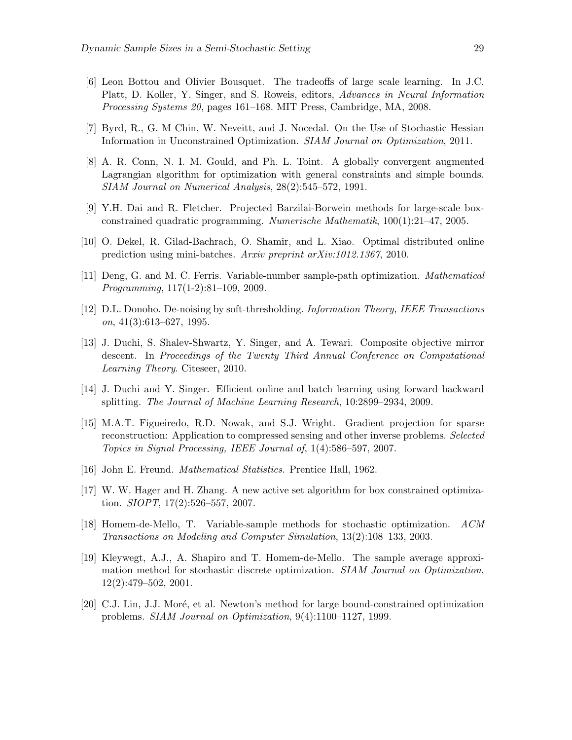- [6] Leon Bottou and Olivier Bousquet. The tradeoffs of large scale learning. In J.C. Platt, D. Koller, Y. Singer, and S. Roweis, editors, Advances in Neural Information Processing Systems 20, pages 161–168. MIT Press, Cambridge, MA, 2008.
- [7] Byrd, R., G. M Chin, W. Neveitt, and J. Nocedal. On the Use of Stochastic Hessian Information in Unconstrained Optimization. SIAM Journal on Optimization, 2011.
- [8] A. R. Conn, N. I. M. Gould, and Ph. L. Toint. A globally convergent augmented Lagrangian algorithm for optimization with general constraints and simple bounds. SIAM Journal on Numerical Analysis, 28(2):545–572, 1991.
- [9] Y.H. Dai and R. Fletcher. Projected Barzilai-Borwein methods for large-scale boxconstrained quadratic programming. Numerische Mathematik, 100(1):21–47, 2005.
- [10] O. Dekel, R. Gilad-Bachrach, O. Shamir, and L. Xiao. Optimal distributed online prediction using mini-batches. Arxiv preprint arXiv:1012.1367, 2010.
- [11] Deng, G. and M. C. Ferris. Variable-number sample-path optimization. Mathematical Programming, 117(1-2):81–109, 2009.
- [12] D.L. Donoho. De-noising by soft-thresholding. Information Theory, IEEE Transactions  $\textit{on}, \, 41(3)$ :613–627, 1995.
- [13] J. Duchi, S. Shalev-Shwartz, Y. Singer, and A. Tewari. Composite objective mirror descent. In Proceedings of the Twenty Third Annual Conference on Computational Learning Theory. Citeseer, 2010.
- [14] J. Duchi and Y. Singer. Efficient online and batch learning using forward backward splitting. The Journal of Machine Learning Research, 10:2899–2934, 2009.
- [15] M.A.T. Figueiredo, R.D. Nowak, and S.J. Wright. Gradient projection for sparse reconstruction: Application to compressed sensing and other inverse problems. Selected Topics in Signal Processing, IEEE Journal of, 1(4):586–597, 2007.
- [16] John E. Freund. Mathematical Statistics. Prentice Hall, 1962.
- [17] W. W. Hager and H. Zhang. A new active set algorithm for box constrained optimization. SIOPT, 17(2):526–557, 2007.
- [18] Homem-de-Mello, T. Variable-sample methods for stochastic optimization. ACM Transactions on Modeling and Computer Simulation, 13(2):108–133, 2003.
- [19] Kleywegt, A.J., A. Shapiro and T. Homem-de-Mello. The sample average approximation method for stochastic discrete optimization. SIAM Journal on Optimization, 12(2):479–502, 2001.
- [20] C.J. Lin, J.J. Moré, et al. Newton's method for large bound-constrained optimization problems. SIAM Journal on Optimization, 9(4):1100–1127, 1999.